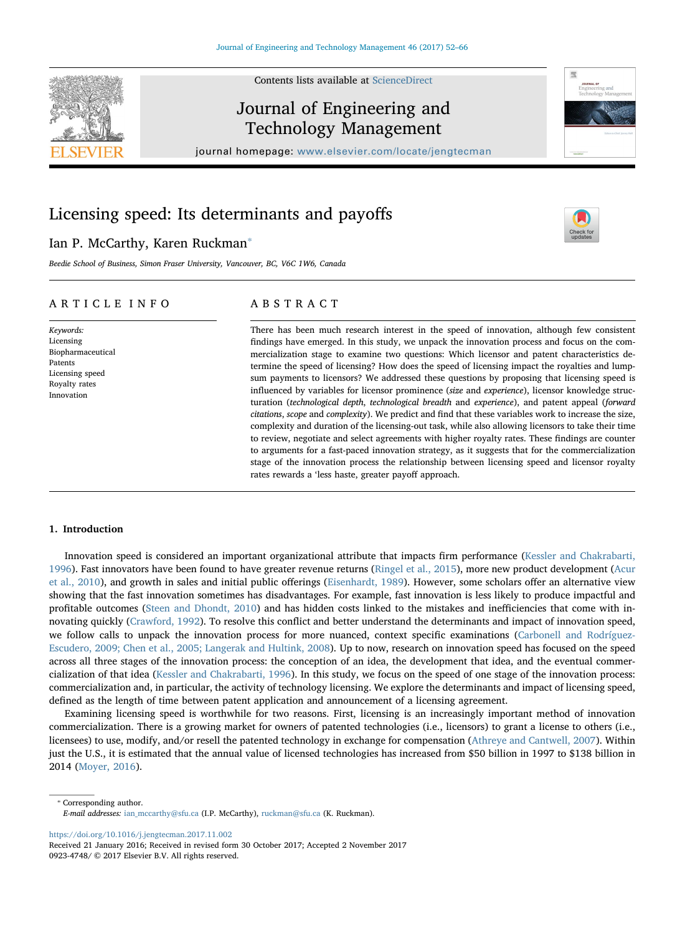Contents lists available at [ScienceDirect](http://www.sciencedirect.com/science/journal/09234748)

## Journal of Engineering and Technology Management

journal homepage: [www.elsevier.com/locate/jengtecman](https://www.elsevier.com/locate/jengtecman)

# Licensing speed: Its determinants and payoffs

## Ian P. McCarthy, Karen Ruckman<sup>®</sup>

Beedie School of Business, Simon Fraser University, Vancouver, BC, V6C 1W6, Canada

## ARTICLE INFO

Keywords: Licensing Biopharmaceutical Patents Licensing speed Royalty rates Innovation

## ABSTRACT

There has been much research interest in the speed of innovation, although few consistent findings have emerged. In this study, we unpack the innovation process and focus on the commercialization stage to examine two questions: Which licensor and patent characteristics determine the speed of licensing? How does the speed of licensing impact the royalties and lumpsum payments to licensors? We addressed these questions by proposing that licensing speed is influenced by variables for licensor prominence (size and experience), licensor knowledge structuration (technological depth, technological breadth and experience), and patent appeal (forward citations, scope and complexity). We predict and find that these variables work to increase the size, complexity and duration of the licensing-out task, while also allowing licensors to take their time to review, negotiate and select agreements with higher royalty rates. These findings are counter to arguments for a fast-paced innovation strategy, as it suggests that for the commercialization stage of the innovation process the relationship between licensing speed and licensor royalty rates rewards a 'less haste, greater payoff approach.

## 1. Introduction

Innovation speed is considered an important organizational attribute that impacts firm performance [\(Kessler and Chakrabarti,](#page-13-0) [1996\)](#page-13-0). Fast innovators have been found to have greater revenue returns [\(Ringel et al., 2015](#page-14-0)), more new product development [\(Acur](#page-12-0) [et al., 2010\)](#page-12-0), and growth in sales and initial public offerings [\(Eisenhardt, 1989\)](#page-13-1). However, some scholars offer an alternative view showing that the fast innovation sometimes has disadvantages. For example, fast innovation is less likely to produce impactful and profitable outcomes [\(Steen and Dhondt, 2010](#page-14-1)) and has hidden costs linked to the mistakes and inefficiencies that come with innovating quickly [\(Crawford, 1992\)](#page-13-2). To resolve this conflict and better understand the determinants and impact of innovation speed, we follow calls to unpack the innovation process for more nuanced, context specific examinations ([Carbonell and Rodríguez-](#page-13-3)[Escudero, 2009; Chen et al., 2005; Langerak and Hultink, 2008](#page-13-3)). Up to now, research on innovation speed has focused on the speed across all three stages of the innovation process: the conception of an idea, the development that idea, and the eventual commercialization of that idea [\(Kessler and Chakrabarti, 1996](#page-13-0)). In this study, we focus on the speed of one stage of the innovation process: commercialization and, in particular, the activity of technology licensing. We explore the determinants and impact of licensing speed, defined as the length of time between patent application and announcement of a licensing agreement.

Examining licensing speed is worthwhile for two reasons. First, licensing is an increasingly important method of innovation commercialization. There is a growing market for owners of patented technologies (i.e., licensors) to grant a license to others (i.e., licensees) to use, modify, and/or resell the patented technology in exchange for compensation [\(Athreye and Cantwell, 2007\)](#page-13-4). Within just the U.S., it is estimated that the annual value of licensed technologies has increased from \$50 billion in 1997 to \$138 billion in 2014 ([Moyer, 2016](#page-14-2)).

<span id="page-0-0"></span>⁎ Corresponding author.

<https://doi.org/10.1016/j.jengtecman.2017.11.002>

Received 21 January 2016; Received in revised form 30 October 2017; Accepted 2 November 2017 0923-4748/ © 2017 Elsevier B.V. All rights reserved.



E-mail addresses: [ian\\_mccarthy@sfu.ca](mailto:ian_mccarthy@sfu.ca) (I.P. McCarthy), [ruckman@sfu.ca](mailto:ruckman@sfu.ca) (K. Ruckman).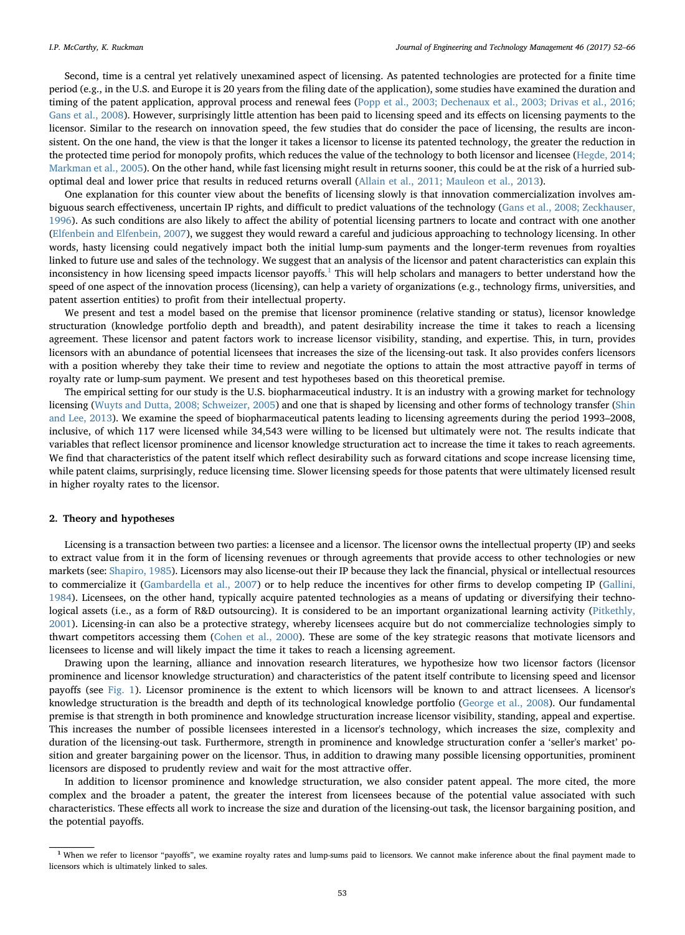Second, time is a central yet relatively unexamined aspect of licensing. As patented technologies are protected for a finite time period (e.g., in the U.S. and Europe it is 20 years from the filing date of the application), some studies have examined the duration and timing of the patent application, approval process and renewal fees ([Popp et al., 2003; Dechenaux et al., 2003; Drivas et al., 2016;](#page-14-3) [Gans et al., 2008](#page-14-3)). However, surprisingly little attention has been paid to licensing speed and its effects on licensing payments to the licensor. Similar to the research on innovation speed, the few studies that do consider the pace of licensing, the results are inconsistent. On the one hand, the view is that the longer it takes a licensor to license its patented technology, the greater the reduction in the protected time period for monopoly profits, which reduces the value of the technology to both licensor and licensee ([Hegde, 2014;](#page-13-5) [Markman et al., 2005\)](#page-13-5). On the other hand, while fast licensing might result in returns sooner, this could be at the risk of a hurried suboptimal deal and lower price that results in reduced returns overall [\(Allain et al., 2011; Mauleon et al., 2013\)](#page-12-1).

One explanation for this counter view about the benefits of licensing slowly is that innovation commercialization involves ambiguous search effectiveness, uncertain IP rights, and difficult to predict valuations of the technology [\(Gans et al., 2008; Zeckhauser,](#page-13-6) [1996\)](#page-13-6). As such conditions are also likely to affect the ability of potential licensing partners to locate and contract with one another ([Elfenbein and Elfenbein, 2007](#page-13-7)), we suggest they would reward a careful and judicious approaching to technology licensing. In other words, hasty licensing could negatively impact both the initial lump-sum payments and the longer-term revenues from royalties linked to future use and sales of the technology. We suggest that an analysis of the licensor and patent characteristics can explain this inconsistency in how licensing speed impacts licensor payoffs.<sup>1</sup> This will help scholars and managers to better understand how the speed of one aspect of the innovation process (licensing), can help a variety of organizations (e.g., technology firms, universities, and patent assertion entities) to profit from their intellectual property.

We present and test a model based on the premise that licensor prominence (relative standing or status), licensor knowledge structuration (knowledge portfolio depth and breadth), and patent desirability increase the time it takes to reach a licensing agreement. These licensor and patent factors work to increase licensor visibility, standing, and expertise. This, in turn, provides licensors with an abundance of potential licensees that increases the size of the licensing-out task. It also provides confers licensors with a position whereby they take their time to review and negotiate the options to attain the most attractive payoff in terms of royalty rate or lump-sum payment. We present and test hypotheses based on this theoretical premise.

The empirical setting for our study is the U.S. biopharmaceutical industry. It is an industry with a growing market for technology licensing [\(Wuyts and Dutta, 2008; Schweizer, 2005](#page-14-4)) and one that is shaped by licensing and other forms of technology transfer ([Shin](#page-14-5) [and Lee, 2013](#page-14-5)). We examine the speed of biopharmaceutical patents leading to licensing agreements during the period 1993–2008, inclusive, of which 117 were licensed while 34,543 were willing to be licensed but ultimately were not. The results indicate that variables that reflect licensor prominence and licensor knowledge structuration act to increase the time it takes to reach agreements. We find that characteristics of the patent itself which reflect desirability such as forward citations and scope increase licensing time, while patent claims, surprisingly, reduce licensing time. Slower licensing speeds for those patents that were ultimately licensed result in higher royalty rates to the licensor.

#### 2. Theory and hypotheses

Licensing is a transaction between two parties: a licensee and a licensor. The licensor owns the intellectual property (IP) and seeks to extract value from it in the form of licensing revenues or through agreements that provide access to other technologies or new markets (see: [Shapiro, 1985](#page-14-6)). Licensors may also license-out their IP because they lack the financial, physical or intellectual resources to commercialize it ([Gambardella et al., 2007](#page-13-8)) or to help reduce the incentives for other firms to develop competing IP [\(Gallini,](#page-13-9) [1984\)](#page-13-9). Licensees, on the other hand, typically acquire patented technologies as a means of updating or diversifying their technological assets (i.e., as a form of R&D outsourcing). It is considered to be an important organizational learning activity [\(Pitkethly,](#page-14-7) [2001\)](#page-14-7). Licensing-in can also be a protective strategy, whereby licensees acquire but do not commercialize technologies simply to thwart competitors accessing them [\(Cohen et al., 2000](#page-13-10)). These are some of the key strategic reasons that motivate licensors and licensees to license and will likely impact the time it takes to reach a licensing agreement.

Drawing upon the learning, alliance and innovation research literatures, we hypothesize how two licensor factors (licensor prominence and licensor knowledge structuration) and characteristics of the patent itself contribute to licensing speed and licensor payoffs (see [Fig. 1](#page-2-0)). Licensor prominence is the extent to which licensors will be known to and attract licensees. A licensor's knowledge structuration is the breadth and depth of its technological knowledge portfolio ([George et al., 2008](#page-13-11)). Our fundamental premise is that strength in both prominence and knowledge structuration increase licensor visibility, standing, appeal and expertise. This increases the number of possible licensees interested in a licensor's technology, which increases the size, complexity and duration of the licensing-out task. Furthermore, strength in prominence and knowledge structuration confer a 'seller's market' position and greater bargaining power on the licensor. Thus, in addition to drawing many possible licensing opportunities, prominent licensors are disposed to prudently review and wait for the most attractive offer.

In addition to licensor prominence and knowledge structuration, we also consider patent appeal. The more cited, the more complex and the broader a patent, the greater the interest from licensees because of the potential value associated with such characteristics. These effects all work to increase the size and duration of the licensing-out task, the licensor bargaining position, and the potential payoffs.

<span id="page-1-0"></span><sup>&</sup>lt;sup>1</sup> When we refer to licensor "payoffs", we examine royalty rates and lump-sums paid to licensors. We cannot make inference about the final payment made to licensors which is ultimately linked to sales.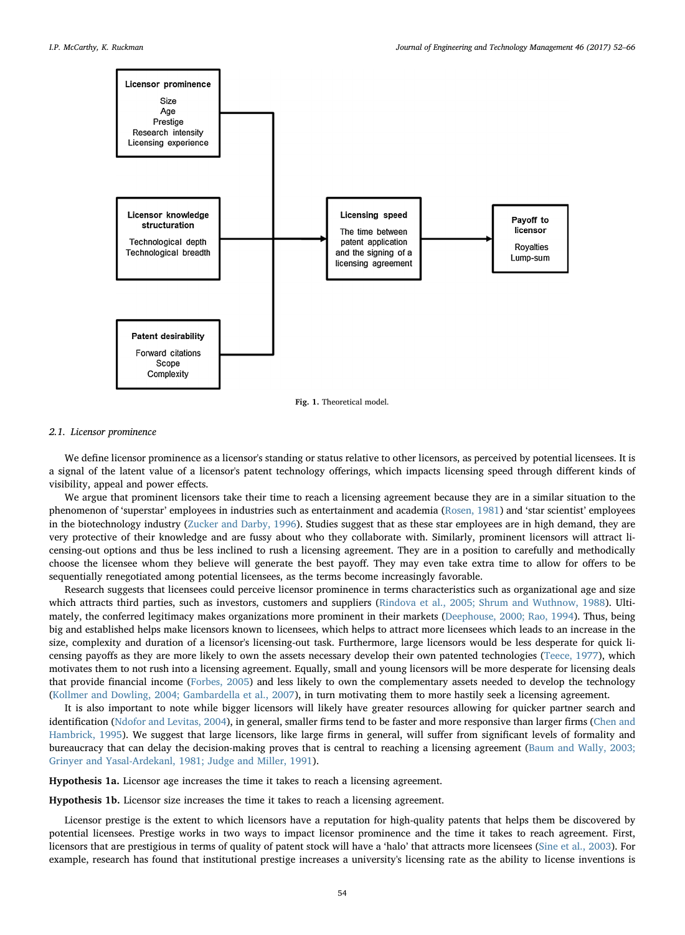<span id="page-2-0"></span>

Fig. 1. Theoretical model.

#### 2.1. Licensor prominence

We define licensor prominence as a licensor's standing or status relative to other licensors, as perceived by potential licensees. It is a signal of the latent value of a licensor's patent technology offerings, which impacts licensing speed through different kinds of visibility, appeal and power effects.

We argue that prominent licensors take their time to reach a licensing agreement because they are in a similar situation to the phenomenon of 'superstar' employees in industries such as entertainment and academia ([Rosen, 1981](#page-14-8)) and 'star scientist' employees in the biotechnology industry [\(Zucker and Darby, 1996\)](#page-14-9). Studies suggest that as these star employees are in high demand, they are very protective of their knowledge and are fussy about who they collaborate with. Similarly, prominent licensors will attract licensing-out options and thus be less inclined to rush a licensing agreement. They are in a position to carefully and methodically choose the licensee whom they believe will generate the best payoff. They may even take extra time to allow for offers to be sequentially renegotiated among potential licensees, as the terms become increasingly favorable.

Research suggests that licensees could perceive licensor prominence in terms characteristics such as organizational age and size which attracts third parties, such as investors, customers and suppliers ([Rindova et al., 2005; Shrum and Wuthnow, 1988](#page-14-10)). Ultimately, the conferred legitimacy makes organizations more prominent in their markets [\(Deephouse, 2000; Rao, 1994](#page-13-12)). Thus, being big and established helps make licensors known to licensees, which helps to attract more licensees which leads to an increase in the size, complexity and duration of a licensor's licensing-out task. Furthermore, large licensors would be less desperate for quick licensing payoffs as they are more likely to own the assets necessary develop their own patented technologies ([Teece, 1977\)](#page-14-11), which motivates them to not rush into a licensing agreement. Equally, small and young licensors will be more desperate for licensing deals that provide financial income ([Forbes, 2005](#page-13-13)) and less likely to own the complementary assets needed to develop the technology ([Kollmer and Dowling, 2004; Gambardella et al., 2007](#page-13-14)), in turn motivating them to more hastily seek a licensing agreement.

It is also important to note while bigger licensors will likely have greater resources allowing for quicker partner search and identification [\(Ndofor and Levitas, 2004](#page-14-12)), in general, smaller firms tend to be faster and more responsive than larger firms [\(Chen and](#page-13-15) [Hambrick, 1995](#page-13-15)). We suggest that large licensors, like large firms in general, will suffer from significant levels of formality and bureaucracy that can delay the decision-making proves that is central to reaching a licensing agreement [\(Baum and Wally, 2003;](#page-13-16) [Grinyer and Yasal-Ardekanl, 1981; Judge and Miller, 1991\)](#page-13-16).

Hypothesis 1a. Licensor age increases the time it takes to reach a licensing agreement.

Hypothesis 1b. Licensor size increases the time it takes to reach a licensing agreement.

Licensor prestige is the extent to which licensors have a reputation for high-quality patents that helps them be discovered by potential licensees. Prestige works in two ways to impact licensor prominence and the time it takes to reach agreement. First, licensors that are prestigious in terms of quality of patent stock will have a 'halo' that attracts more licensees ([Sine et al., 2003\)](#page-14-13). For example, research has found that institutional prestige increases a university's licensing rate as the ability to license inventions is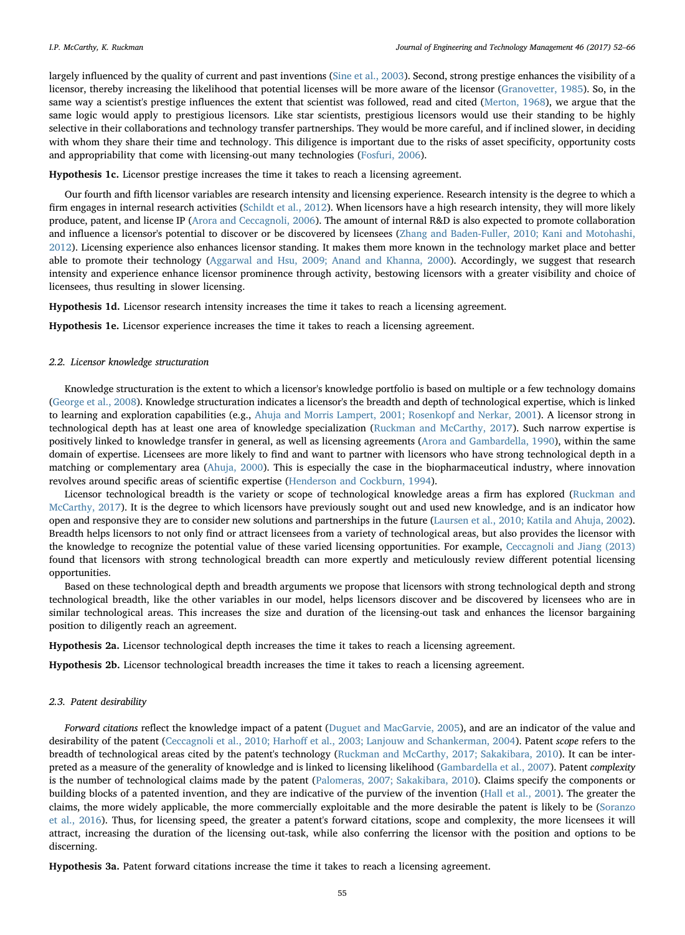largely influenced by the quality of current and past inventions ([Sine et al., 2003](#page-14-13)). Second, strong prestige enhances the visibility of a licensor, thereby increasing the likelihood that potential licenses will be more aware of the licensor ([Granovetter, 1985\)](#page-13-17). So, in the same way a scientist's prestige influences the extent that scientist was followed, read and cited [\(Merton, 1968\)](#page-14-14), we argue that the same logic would apply to prestigious licensors. Like star scientists, prestigious licensors would use their standing to be highly selective in their collaborations and technology transfer partnerships. They would be more careful, and if inclined slower, in deciding with whom they share their time and technology. This diligence is important due to the risks of asset specificity, opportunity costs and appropriability that come with licensing-out many technologies [\(Fosfuri, 2006](#page-13-18)).

Hypothesis 1c. Licensor prestige increases the time it takes to reach a licensing agreement.

Our fourth and fifth licensor variables are research intensity and licensing experience. Research intensity is the degree to which a firm engages in internal research activities [\(Schildt et al., 2012\)](#page-14-15). When licensors have a high research intensity, they will more likely produce, patent, and license IP ([Arora and Ceccagnoli, 2006\)](#page-12-2). The amount of internal R&D is also expected to promote collaboration and influence a licensor's potential to discover or be discovered by licensees ([Zhang and Baden-Fuller, 2010; Kani and Motohashi,](#page-14-16) [2012\)](#page-14-16). Licensing experience also enhances licensor standing. It makes them more known in the technology market place and better able to promote their technology ([Aggarwal and Hsu, 2009; Anand and Khanna, 2000\)](#page-12-3). Accordingly, we suggest that research intensity and experience enhance licensor prominence through activity, bestowing licensors with a greater visibility and choice of licensees, thus resulting in slower licensing.

Hypothesis 1d. Licensor research intensity increases the time it takes to reach a licensing agreement.

Hypothesis 1e. Licensor experience increases the time it takes to reach a licensing agreement.

#### 2.2. Licensor knowledge structuration

Knowledge structuration is the extent to which a licensor's knowledge portfolio is based on multiple or a few technology domains ([George et al., 2008\)](#page-13-11). Knowledge structuration indicates a licensor's the breadth and depth of technological expertise, which is linked to learning and exploration capabilities (e.g., [Ahuja and Morris Lampert, 2001; Rosenkopf and Nerkar, 2001](#page-12-4)). A licensor strong in technological depth has at least one area of knowledge specialization [\(Ruckman and McCarthy, 2017\)](#page-14-17). Such narrow expertise is positively linked to knowledge transfer in general, as well as licensing agreements [\(Arora and Gambardella, 1990\)](#page-12-5), within the same domain of expertise. Licensees are more likely to find and want to partner with licensors who have strong technological depth in a matching or complementary area ([Ahuja, 2000](#page-12-6)). This is especially the case in the biopharmaceutical industry, where innovation revolves around specific areas of scientific expertise ([Henderson and Cockburn, 1994\)](#page-13-19).

Licensor technological breadth is the variety or scope of technological knowledge areas a firm has explored ([Ruckman and](#page-14-17) [McCarthy, 2017](#page-14-17)). It is the degree to which licensors have previously sought out and used new knowledge, and is an indicator how open and responsive they are to consider new solutions and partnerships in the future [\(Laursen et al., 2010; Katila and Ahuja, 2002](#page-13-20)). Breadth helps licensors to not only find or attract licensees from a variety of technological areas, but also provides the licensor with the knowledge to recognize the potential value of these varied licensing opportunities. For example, [Ceccagnoli and Jiang \(2013\)](#page-13-21) found that licensors with strong technological breadth can more expertly and meticulously review different potential licensing opportunities.

Based on these technological depth and breadth arguments we propose that licensors with strong technological depth and strong technological breadth, like the other variables in our model, helps licensors discover and be discovered by licensees who are in similar technological areas. This increases the size and duration of the licensing-out task and enhances the licensor bargaining position to diligently reach an agreement.

Hypothesis 2a. Licensor technological depth increases the time it takes to reach a licensing agreement.

Hypothesis 2b. Licensor technological breadth increases the time it takes to reach a licensing agreement.

## 2.3. Patent desirability

Forward citations reflect the knowledge impact of a patent ([Duguet and MacGarvie, 2005\)](#page-13-22), and are an indicator of the value and desirability of the patent (Ceccagnoli et al., 2010; Harhoff [et al., 2003; Lanjouw and Schankerman, 2004\)](#page-13-23). Patent scope refers to the breadth of technological areas cited by the patent's technology ([Ruckman and McCarthy, 2017; Sakakibara, 2010](#page-14-17)). It can be inter-preted as a measure of the generality of knowledge and is linked to licensing likelihood [\(Gambardella et al., 2007](#page-13-8)). Patent complexity is the number of technological claims made by the patent [\(Palomeras, 2007; Sakakibara, 2010](#page-14-18)). Claims specify the components or building blocks of a patented invention, and they are indicative of the purview of the invention [\(Hall et al., 2001\)](#page-13-24). The greater the claims, the more widely applicable, the more commercially exploitable and the more desirable the patent is likely to be ([Soranzo](#page-14-19) [et al., 2016\)](#page-14-19). Thus, for licensing speed, the greater a patent's forward citations, scope and complexity, the more licensees it will attract, increasing the duration of the licensing out-task, while also conferring the licensor with the position and options to be discerning.

Hypothesis 3a. Patent forward citations increase the time it takes to reach a licensing agreement.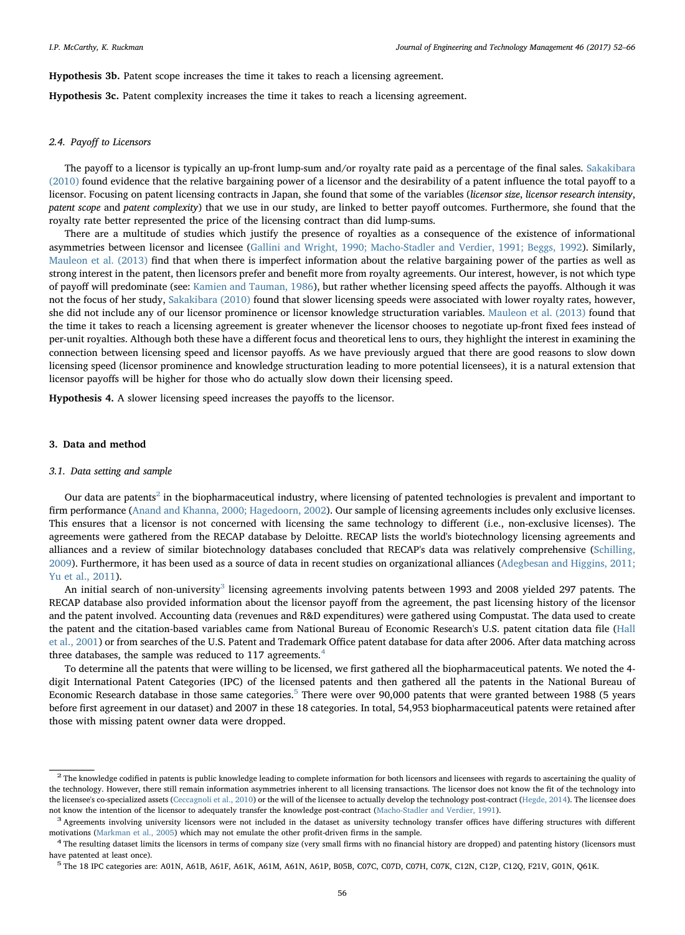Hypothesis 3b. Patent scope increases the time it takes to reach a licensing agreement.

Hypothesis 3c. Patent complexity increases the time it takes to reach a licensing agreement.

#### 2.4. Payoff to Licensors

The payoff to a licensor is typically an up-front lump-sum and/or royalty rate paid as a percentage of the final sales. [Sakakibara](#page-14-20) [\(2010\)](#page-14-20) found evidence that the relative bargaining power of a licensor and the desirability of a patent influence the total payoff to a licensor. Focusing on patent licensing contracts in Japan, she found that some of the variables (licensor size, licensor research intensity, patent scope and patent complexity) that we use in our study, are linked to better payoff outcomes. Furthermore, she found that the royalty rate better represented the price of the licensing contract than did lump-sums.

There are a multitude of studies which justify the presence of royalties as a consequence of the existence of informational asymmetries between licensor and licensee [\(Gallini and Wright, 1990; Macho-Stadler and Verdier, 1991; Beggs, 1992\)](#page-13-25). Similarly, [Mauleon et al. \(2013\)](#page-14-21) find that when there is imperfect information about the relative bargaining power of the parties as well as strong interest in the patent, then licensors prefer and benefit more from royalty agreements. Our interest, however, is not which type of payoff will predominate (see: [Kamien and Tauman, 1986](#page-13-26)), but rather whether licensing speed affects the payoffs. Although it was not the focus of her study, [Sakakibara \(2010\)](#page-14-20) found that slower licensing speeds were associated with lower royalty rates, however, she did not include any of our licensor prominence or licensor knowledge structuration variables. [Mauleon et al. \(2013\)](#page-14-21) found that the time it takes to reach a licensing agreement is greater whenever the licensor chooses to negotiate up-front fixed fees instead of per-unit royalties. Although both these have a different focus and theoretical lens to ours, they highlight the interest in examining the connection between licensing speed and licensor payoffs. As we have previously argued that there are good reasons to slow down licensing speed (licensor prominence and knowledge structuration leading to more potential licensees), it is a natural extension that licensor payoffs will be higher for those who do actually slow down their licensing speed.

Hypothesis 4. A slower licensing speed increases the payoffs to the licensor.

#### 3. Data and method

#### 3.1. Data setting and sample

Our data are patents<sup>[2](#page-4-0)</sup> in the biopharmaceutical industry, where licensing of patented technologies is prevalent and important to firm performance [\(Anand and Khanna, 2000; Hagedoorn, 2002](#page-12-7)). Our sample of licensing agreements includes only exclusive licenses. This ensures that a licensor is not concerned with licensing the same technology to different (i.e., non-exclusive licenses). The agreements were gathered from the RECAP database by Deloitte. RECAP lists the world's biotechnology licensing agreements and alliances and a review of similar biotechnology databases concluded that RECAP's data was relatively comprehensive [\(Schilling,](#page-14-22) [2009\)](#page-14-22). Furthermore, it has been used as a source of data in recent studies on organizational alliances [\(Adegbesan and Higgins, 2011;](#page-12-8) [Yu et al., 2011\)](#page-12-8).

An initial search of non-university<sup>[3](#page-4-1)</sup> licensing agreements involving patents between 1993 and 2008 yielded 297 patents. The RECAP database also provided information about the licensor payoff from the agreement, the past licensing history of the licensor and the patent involved. Accounting data (revenues and R&D expenditures) were gathered using Compustat. The data used to create the patent and the citation-based variables came from National Bureau of Economic Research's U.S. patent citation data file ([Hall](#page-13-24) [et al., 2001](#page-13-24)) or from searches of the U.S. Patent and Trademark Office patent database for data after 2006. After data matching across three databases, the sample was reduced to 117 agreements.<sup>[4](#page-4-2)</sup>

To determine all the patents that were willing to be licensed, we first gathered all the biopharmaceutical patents. We noted the 4 digit International Patent Categories (IPC) of the licensed patents and then gathered all the patents in the National Bureau of Economic Research database in those same categories.<sup>[5](#page-4-3)</sup> There were over 90,000 patents that were granted between 1988 (5 years before first agreement in our dataset) and 2007 in these 18 categories. In total, 54,953 biopharmaceutical patents were retained after those with missing patent owner data were dropped.

<span id="page-4-0"></span> $2$  The knowledge codified in patents is public knowledge leading to complete information for both licensors and licensees with regards to ascertaining the quality of the technology. However, there still remain information asymmetries inherent to all licensing transactions. The licensor does not know the fit of the technology into the licensee's co-specialized assets ([Ceccagnoli et al., 2010](#page-13-23)) or the will of the licensee to actually develop the technology post-contract [\(Hegde, 2014\)](#page-13-5). The licensee does

<span id="page-4-1"></span>not know the intention of the licensor to adequately transfer the knowledge post-contract ([Macho-Stadler and Verdier, 1991](#page-14-23)).  $3$  Agreements involving university licensors were not included in the dataset as university tec motivations ([Markman et al., 2005\)](#page-14-24) which may not emulate the other profit-driven firms in the sample.<br><sup>4</sup> The resulting dataset limits the licensors in terms of company size (very small firms with no financial history are

<span id="page-4-2"></span>have patented at least once).<br><sup>5</sup> The 18 IPC categories are: A01N, A61B, A61F, A61K, A61M, A61N, A61P, B05B, C07C, C07D, C07H, C07K, C12N, C12P, C12Q, F21V, G01N, Q61K.

<span id="page-4-3"></span>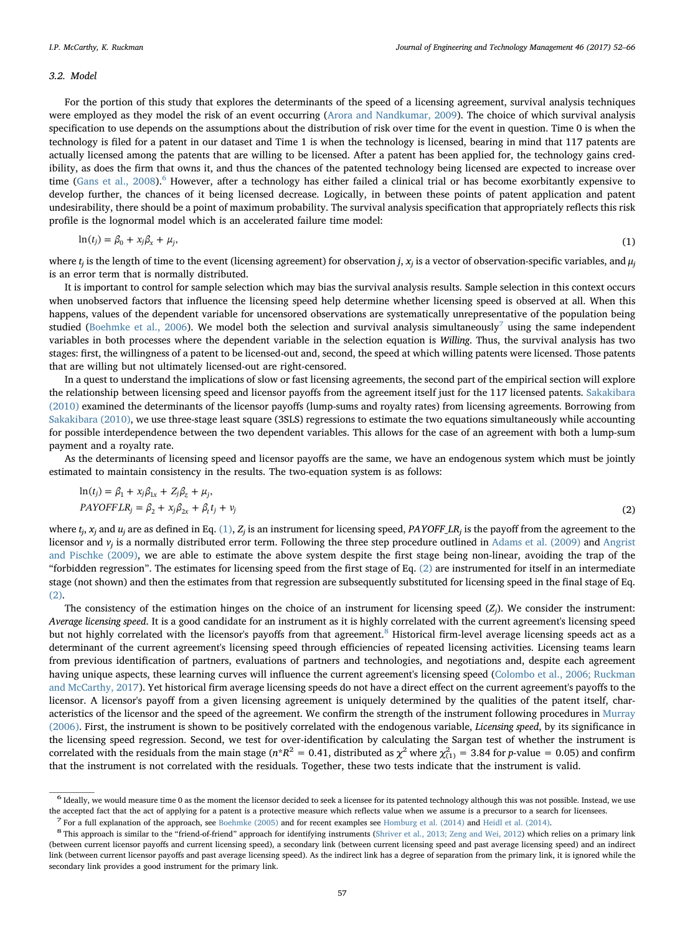#### 3.2. Model

For the portion of this study that explores the determinants of the speed of a licensing agreement, survival analysis techniques were employed as they model the risk of an event occurring [\(Arora and Nandkumar, 2009](#page-13-27)). The choice of which survival analysis specification to use depends on the assumptions about the distribution of risk over time for the event in question. Time 0 is when the technology is filed for a patent in our dataset and Time 1 is when the technology is licensed, bearing in mind that 117 patents are actually licensed among the patents that are willing to be licensed. After a patent has been applied for, the technology gains credibility, as does the firm that owns it, and thus the chances of the patented technology being licensed are expected to increase over time [\(Gans et al., 2008\)](#page-13-6).<sup>[6](#page-5-0)</sup> However, after a technology has either failed a clinical trial or has become exorbitantly expensive to develop further, the chances of it being licensed decrease. Logically, in between these points of patent application and patent undesirability, there should be a point of maximum probability. The survival analysis specification that appropriately reflects this risk profile is the lognormal model which is an accelerated failure time model:

<span id="page-5-2"></span>
$$
\ln(t_j) = \beta_0 + x_j \beta_x + \mu_j,\tag{1}
$$

where  $t_i$  is the length of time to the event (licensing agreement) for observation j,  $x_i$  is a vector of observation-specific variables, and  $\mu_i$ is an error term that is normally distributed.

It is important to control for sample selection which may bias the survival analysis results. Sample selection in this context occurs when unobserved factors that influence the licensing speed help determine whether licensing speed is observed at all. When this happens, values of the dependent variable for uncensored observations are systematically unrepresentative of the population being studied ([Boehmke et al., 2006\)](#page-13-28). We model both the selection and survival analysis simultaneously<sup>[7](#page-5-1)</sup> using the same independent variables in both processes where the dependent variable in the selection equation is Willing. Thus, the survival analysis has two stages: first, the willingness of a patent to be licensed-out and, second, the speed at which willing patents were licensed. Those patents that are willing but not ultimately licensed-out are right-censored.

In a quest to understand the implications of slow or fast licensing agreements, the second part of the empirical section will explore the relationship between licensing speed and licensor payoffs from the agreement itself just for the 117 licensed patents. [Sakakibara](#page-14-20) [\(2010\)](#page-14-20) examined the determinants of the licensor payoffs (lump-sums and royalty rates) from licensing agreements. Borrowing from [Sakakibara \(2010\),](#page-14-20) we use three-stage least square (3SLS) regressions to estimate the two equations simultaneously while accounting for possible interdependence between the two dependent variables. This allows for the case of an agreement with both a lump-sum payment and a royalty rate.

<span id="page-5-3"></span>As the determinants of licensing speed and licensor payoffs are the same, we have an endogenous system which must be jointly estimated to maintain consistency in the results. The two-equation system is as follows:

$$
\ln(t_j) = \beta_1 + x_j \beta_{1x} + Z_j \beta_z + \mu_j,
$$
  
PAYOFFLR<sub>j</sub> =  $\beta_2 + x_j \beta_{2x} + \beta_t t_j + v_j$  (2)

where  $t_i$ ,  $x_i$  and  $u_i$  are as defined in Eq. [\(1\),](#page-5-2)  $Z_i$  is an instrument for licensing speed, PAYOFF\_LR<sub>i</sub> is the payoff from the agreement to the licensor and  $v_i$  is a normally distributed error term. Following the three step procedure outlined in [Adams et al. \(2009\)](#page-12-9) and [Angrist](#page-12-10) [and Pischke \(2009\)](#page-12-10), we are able to estimate the above system despite the first stage being non-linear, avoiding the trap of the "forbidden regression". The estimates for licensing speed from the first stage of Eq. [\(2\)](#page-5-3) are instrumented for itself in an intermediate stage (not shown) and then the estimates from that regression are subsequently substituted for licensing speed in the final stage of Eq. [\(2\)](#page-5-3).

The consistency of the estimation hinges on the choice of an instrument for licensing speed  $(Z<sub>i</sub>)$ . We consider the instrument: Average licensing speed. It is a good candidate for an instrument as it is highly correlated with the current agreement's licensing speed but not highly correlated with the licensor's payoffs from that agreement.<sup>[8](#page-5-4)</sup> Historical firm-level average licensing speeds act as a determinant of the current agreement's licensing speed through efficiencies of repeated licensing activities. Licensing teams learn from previous identification of partners, evaluations of partners and technologies, and negotiations and, despite each agreement having unique aspects, these learning curves will influence the current agreement's licensing speed ([Colombo et al., 2006; Ruckman](#page-13-29) [and McCarthy, 2017](#page-13-29)). Yet historical firm average licensing speeds do not have a direct effect on the current agreement's payoffs to the licensor. A licensor's payoff from a given licensing agreement is uniquely determined by the qualities of the patent itself, characteristics of the licensor and the speed of the agreement. We confirm the strength of the instrument following procedures in [Murray](#page-14-25) [\(2006\).](#page-14-25) First, the instrument is shown to be positively correlated with the endogenous variable, Licensing speed, by its significance in the licensing speed regression. Second, we test for over-identification by calculating the Sargan test of whether the instrument is correlated with the residuals from the main stage ( $n^*R^2 = 0.41$ , distributed as  $\chi^2$  where  $\chi^2_{(1)} = 3.84$  for p-value = 0.05) and confirm that the instrument is not correlated with the residuals. Together, these two tests indicate that the instrument is valid.

<span id="page-5-1"></span>

<span id="page-5-0"></span><sup>6</sup> Ideally, we would measure time 0 as the moment the licensor decided to seek a licensee for its patented technology although this was not possible. Instead, we use the accepted fact that the act of applying for a patent is a protective measure which reflects value when we assume is a precursor to a search for licensees.<br><sup>7</sup> For a full explanation of the approach, see [Boehmke \(2005\)](#page-13-30)

<span id="page-5-4"></span><sup>(</sup>between current licensor payoffs and current licensing speed), a secondary link (between current licensing speed and past average licensing speed) and an indirect link (between current licensor payoffs and past average licensing speed). As the indirect link has a degree of separation from the primary link, it is ignored while the secondary link provides a good instrument for the primary link.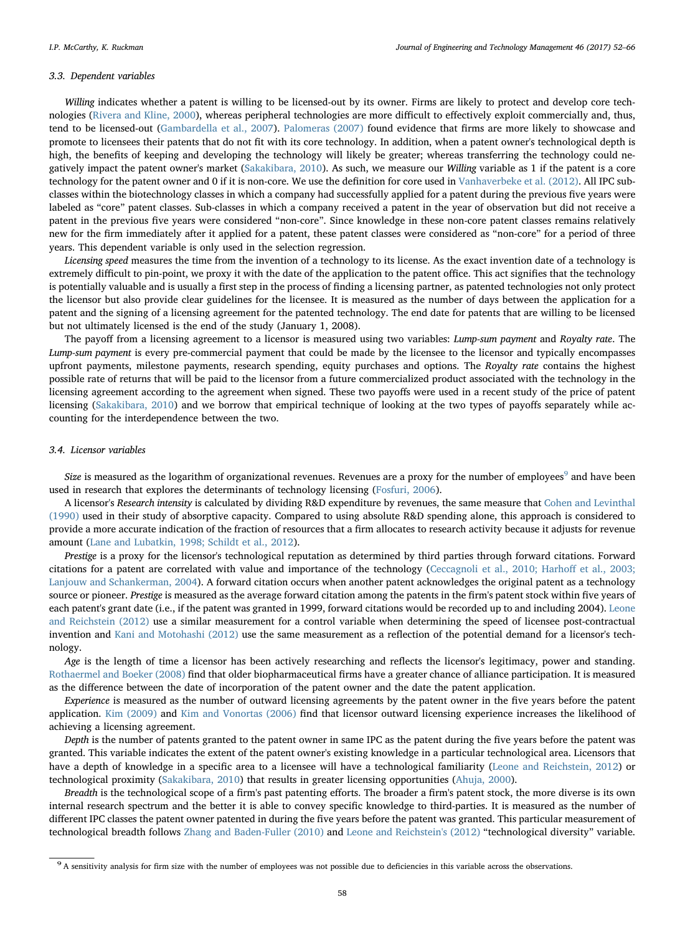#### 3.3. Dependent variables

Willing indicates whether a patent is willing to be licensed-out by its owner. Firms are likely to protect and develop core technologies ([Rivera and Kline, 2000\)](#page-14-27), whereas peripheral technologies are more difficult to effectively exploit commercially and, thus, tend to be licensed-out ([Gambardella et al., 2007](#page-13-8)). [Palomeras \(2007\)](#page-14-18) found evidence that firms are more likely to showcase and promote to licensees their patents that do not fit with its core technology. In addition, when a patent owner's technological depth is high, the benefits of keeping and developing the technology will likely be greater; whereas transferring the technology could negatively impact the patent owner's market ([Sakakibara, 2010](#page-14-20)). As such, we measure our Willing variable as 1 if the patent is a core technology for the patent owner and 0 if it is non-core. We use the definition for core used in [Vanhaverbeke et al. \(2012\)](#page-14-28). All IPC subclasses within the biotechnology classes in which a company had successfully applied for a patent during the previous five years were labeled as "core" patent classes. Sub-classes in which a company received a patent in the year of observation but did not receive a patent in the previous five years were considered "non-core". Since knowledge in these non-core patent classes remains relatively new for the firm immediately after it applied for a patent, these patent classes were considered as "non-core" for a period of three years. This dependent variable is only used in the selection regression.

Licensing speed measures the time from the invention of a technology to its license. As the exact invention date of a technology is extremely difficult to pin-point, we proxy it with the date of the application to the patent office. This act signifies that the technology is potentially valuable and is usually a first step in the process of finding a licensing partner, as patented technologies not only protect the licensor but also provide clear guidelines for the licensee. It is measured as the number of days between the application for a patent and the signing of a licensing agreement for the patented technology. The end date for patents that are willing to be licensed but not ultimately licensed is the end of the study (January 1, 2008).

The payoff from a licensing agreement to a licensor is measured using two variables: Lump-sum payment and Royalty rate. The Lump-sum payment is every pre-commercial payment that could be made by the licensee to the licensor and typically encompasses upfront payments, milestone payments, research spending, equity purchases and options. The Royalty rate contains the highest possible rate of returns that will be paid to the licensor from a future commercialized product associated with the technology in the licensing agreement according to the agreement when signed. These two payoffs were used in a recent study of the price of patent licensing [\(Sakakibara, 2010](#page-14-20)) and we borrow that empirical technique of looking at the two types of payoffs separately while accounting for the interdependence between the two.

#### 3.4. Licensor variables

Size is measured as the logarithm of organizational revenues. Revenues are a proxy for the number of employees<sup>[9](#page-6-0)</sup> and have been used in research that explores the determinants of technology licensing [\(Fosfuri, 2006](#page-13-18)).

A licensor's Research intensity is calculated by dividing R&D expenditure by revenues, the same measure that [Cohen and Levinthal](#page-13-33) [\(1990\)](#page-13-33) used in their study of absorptive capacity. Compared to using absolute R&D spending alone, this approach is considered to provide a more accurate indication of the fraction of resources that a firm allocates to research activity because it adjusts for revenue amount ([Lane and Lubatkin, 1998; Schildt et al., 2012](#page-13-34)).

Prestige is a proxy for the licensor's technological reputation as determined by third parties through forward citations. Forward citations for a patent are correlated with value and importance of the technology [\(Ceccagnoli et al., 2010; Harho](#page-13-23)ff et al., 2003; [Lanjouw and Schankerman, 2004\)](#page-13-23). A forward citation occurs when another patent acknowledges the original patent as a technology source or pioneer. Prestige is measured as the average forward citation among the patents in the firm's patent stock within five years of each patent's grant date (i.e., if the patent was granted in 1999, forward citations would be recorded up to and including 2004). [Leone](#page-14-29) [and Reichstein \(2012\)](#page-14-29) use a similar measurement for a control variable when determining the speed of licensee post-contractual invention and [Kani and Motohashi \(2012\)](#page-13-35) use the same measurement as a reflection of the potential demand for a licensor's technology.

Age is the length of time a licensor has been actively researching and reflects the licensor's legitimacy, power and standing. [Rothaermel and Boeker \(2008\)](#page-14-30) find that older biopharmaceutical firms have a greater chance of alliance participation. It is measured as the difference between the date of incorporation of the patent owner and the date the patent application.

Experience is measured as the number of outward licensing agreements by the patent owner in the five years before the patent application. [Kim \(2009\)](#page-13-36) and [Kim and Vonortas \(2006\)](#page-13-37) find that licensor outward licensing experience increases the likelihood of achieving a licensing agreement.

Depth is the number of patents granted to the patent owner in same IPC as the patent during the five years before the patent was granted. This variable indicates the extent of the patent owner's existing knowledge in a particular technological area. Licensors that have a depth of knowledge in a specific area to a licensee will have a technological familiarity ([Leone and Reichstein, 2012\)](#page-14-29) or technological proximity ([Sakakibara, 2010\)](#page-14-20) that results in greater licensing opportunities [\(Ahuja, 2000](#page-12-6)).

Breadth is the technological scope of a firm's past patenting efforts. The broader a firm's patent stock, the more diverse is its own internal research spectrum and the better it is able to convey specific knowledge to third-parties. It is measured as the number of different IPC classes the patent owner patented in during the five years before the patent was granted. This particular measurement of technological breadth follows [Zhang and Baden-Fuller \(2010\)](#page-14-16) and [Leone and Reichstein's \(2012\)](#page-14-29) "technological diversity" variable.

<span id="page-6-0"></span><sup>9</sup> A sensitivity analysis for firm size with the number of employees was not possible due to deficiencies in this variable across the observations.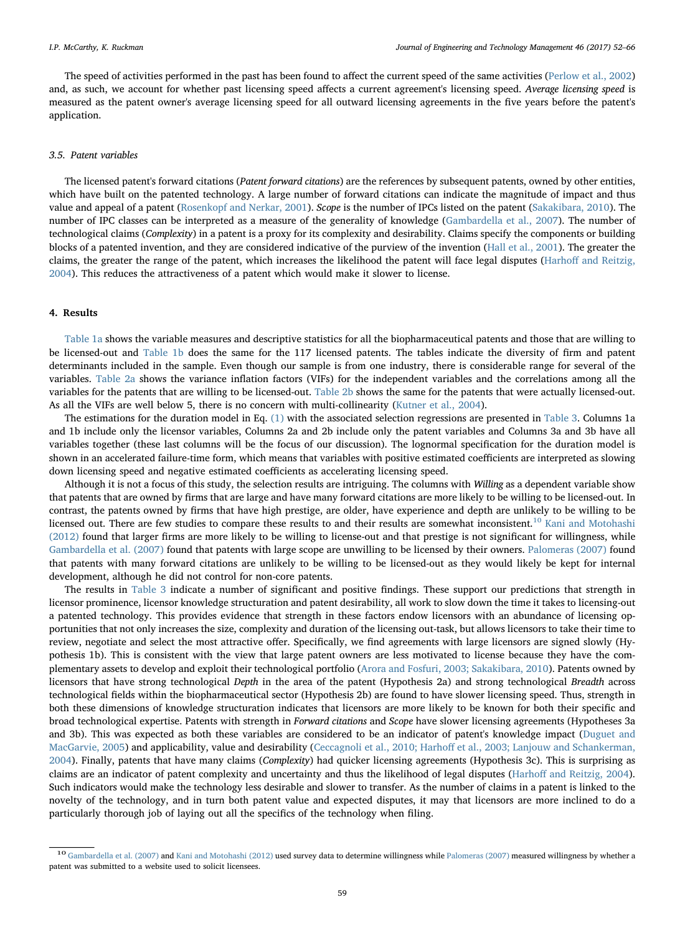The speed of activities performed in the past has been found to affect the current speed of the same activities [\(Perlow et al., 2002](#page-14-31)) and, as such, we account for whether past licensing speed affects a current agreement's licensing speed. Average licensing speed is measured as the patent owner's average licensing speed for all outward licensing agreements in the five years before the patent's application.

#### 3.5. Patent variables

The licensed patent's forward citations (Patent forward citations) are the references by subsequent patents, owned by other entities, which have built on the patented technology. A large number of forward citations can indicate the magnitude of impact and thus value and appeal of a patent ([Rosenkopf and Nerkar, 2001](#page-14-32)). Scope is the number of IPCs listed on the patent [\(Sakakibara, 2010\)](#page-14-20). The number of IPC classes can be interpreted as a measure of the generality of knowledge ([Gambardella et al., 2007\)](#page-13-8). The number of technological claims (Complexity) in a patent is a proxy for its complexity and desirability. Claims specify the components or building blocks of a patented invention, and they are considered indicative of the purview of the invention [\(Hall et al., 2001](#page-13-24)). The greater the claims, the greater the range of the patent, which increases the likelihood the patent will face legal disputes (Harhoff [and Reitzig,](#page-13-38) [2004\)](#page-13-38). This reduces the attractiveness of a patent which would make it slower to license.

## 4. Results

[Table 1a](#page-8-0) shows the variable measures and descriptive statistics for all the biopharmaceutical patents and those that are willing to be licensed-out and [Table 1b](#page-9-0) does the same for the 117 licensed patents. The tables indicate the diversity of firm and patent determinants included in the sample. Even though our sample is from one industry, there is considerable range for several of the variables. [Table 2a](#page-9-1) shows the variance inflation factors (VIFs) for the independent variables and the correlations among all the variables for the patents that are willing to be licensed-out. [Table 2b](#page-10-0) shows the same for the patents that were actually licensed-out. As all the VIFs are well below 5, there is no concern with multi-collinearity ([Kutner et al., 2004](#page-13-39)).

The estimations for the duration model in Eq. [\(1\)](#page-5-2) with the associated selection regressions are presented in [Table 3](#page-10-1). Columns 1a and 1b include only the licensor variables, Columns 2a and 2b include only the patent variables and Columns 3a and 3b have all variables together (these last columns will be the focus of our discussion). The lognormal specification for the duration model is shown in an accelerated failure-time form, which means that variables with positive estimated coefficients are interpreted as slowing down licensing speed and negative estimated coefficients as accelerating licensing speed.

Although it is not a focus of this study, the selection results are intriguing. The columns with Willing as a dependent variable show that patents that are owned by firms that are large and have many forward citations are more likely to be willing to be licensed-out. In contrast, the patents owned by firms that have high prestige, are older, have experience and depth are unlikely to be willing to be licensed out. There are few studies to compare these results to and their results are somewhat inconsistent.<sup>[10](#page-7-0)</sup> [Kani and Motohashi](#page-13-35) [\(2012\)](#page-13-35) found that larger firms are more likely to be willing to license-out and that prestige is not significant for willingness, while [Gambardella et al. \(2007\)](#page-13-8) found that patents with large scope are unwilling to be licensed by their owners. [Palomeras \(2007\)](#page-14-18) found that patents with many forward citations are unlikely to be willing to be licensed-out as they would likely be kept for internal development, although he did not control for non-core patents.

The results in [Table 3](#page-10-1) indicate a number of significant and positive findings. These support our predictions that strength in licensor prominence, licensor knowledge structuration and patent desirability, all work to slow down the time it takes to licensing-out a patented technology. This provides evidence that strength in these factors endow licensors with an abundance of licensing opportunities that not only increases the size, complexity and duration of the licensing out-task, but allows licensors to take their time to review, negotiate and select the most attractive offer. Specifically, we find agreements with large licensors are signed slowly (Hypothesis 1b). This is consistent with the view that large patent owners are less motivated to license because they have the complementary assets to develop and exploit their technological portfolio [\(Arora and Fosfuri, 2003; Sakakibara, 2010](#page-12-11)). Patents owned by licensors that have strong technological Depth in the area of the patent (Hypothesis 2a) and strong technological Breadth across technological fields within the biopharmaceutical sector (Hypothesis 2b) are found to have slower licensing speed. Thus, strength in both these dimensions of knowledge structuration indicates that licensors are more likely to be known for both their specific and broad technological expertise. Patents with strength in Forward citations and Scope have slower licensing agreements (Hypotheses 3a and 3b). This was expected as both these variables are considered to be an indicator of patent's knowledge impact ([Duguet and](#page-13-22) [MacGarvie, 2005](#page-13-22)) and applicability, value and desirability (Ceccagnoli et al., 2010; Harhoff [et al., 2003; Lanjouw and Schankerman,](#page-13-23) [2004\)](#page-13-23). Finally, patents that have many claims (Complexity) had quicker licensing agreements (Hypothesis 3c). This is surprising as claims are an indicator of patent complexity and uncertainty and thus the likelihood of legal disputes (Harhoff [and Reitzig, 2004\)](#page-13-38). Such indicators would make the technology less desirable and slower to transfer. As the number of claims in a patent is linked to the novelty of the technology, and in turn both patent value and expected disputes, it may that licensors are more inclined to do a particularly thorough job of laying out all the specifics of the technology when filing.

<span id="page-7-0"></span><sup>&</sup>lt;sup>10</sup> [Gambardella et al. \(2007\)](#page-13-8) and [Kani and Motohashi \(2012\)](#page-13-35) used survey data to determine willingness while [Palomeras \(2007\)](#page-14-18) measured willingness by whether a patent was submitted to a website used to solicit licensees.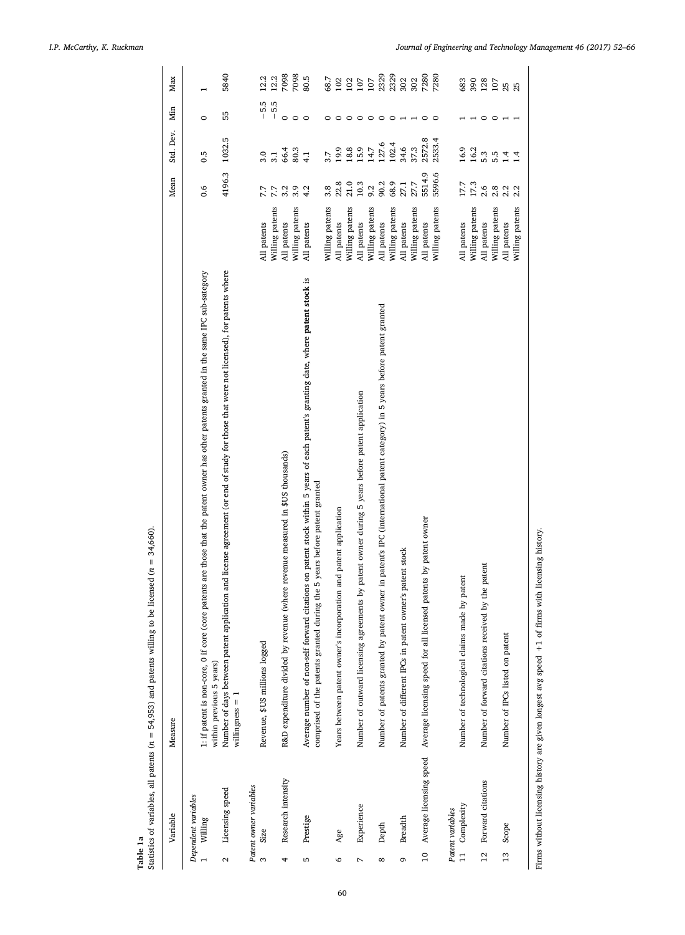<span id="page-8-0"></span>

| Table 1a                                   | to be licensed $(n = 34,660)$ .<br>Statistics of variables, all patents ( $n = 54,953$ ) and patents willing                                                                                                      |                                |               |                  |                    |                                              |
|--------------------------------------------|-------------------------------------------------------------------------------------------------------------------------------------------------------------------------------------------------------------------|--------------------------------|---------------|------------------|--------------------|----------------------------------------------|
| Variable                                   | Measure                                                                                                                                                                                                           |                                | Mean          | Std. Dev.        | Min                | Max                                          |
| Dependent variables<br>Willing             | 1: if patent is non-core, 0 if core (core patents are those that the patent owner has other patents granted in the same IPC sub-sategory                                                                          |                                | $\frac{6}{1}$ | 0.5              | c                  |                                              |
| Licensing speed<br>$\mathbf{\Omega}$       | Number of days between patent application and license agreement (or end of study for those that were not licensed), for patents where<br>within previous 5 years)<br>willingness = 1                              |                                | 4196.3        | 1032.5           | 55                 | 5840                                         |
| Patent owner variables<br>Size<br>$\infty$ | Revenue, \$US millions logged                                                                                                                                                                                     | All patents                    | 7.7           | 3.0              | $-5.5$             | 12.2                                         |
|                                            |                                                                                                                                                                                                                   | Willing patents                | 7.7           | 3.1              | $-5.5$             | 12.2                                         |
| Research intensity<br>4                    | R&D expenditure divided by revenue (where revenue measured in \$US thousands)                                                                                                                                     | Willing patents<br>All patents | 3.2<br>3.9    | 66.4<br>80.3     | $\circ$<br>$\circ$ | 7098<br>7098                                 |
| Prestige<br>Б                              | Average number of non-self forward citations on patent stock within 5 years of each patent's granting date, where patent stock is<br>during the 5 years before patent granted<br>comprised of the patents granted | All patents                    | 4.2           | $\overline{4.1}$ | $\circ$            | 80.5                                         |
|                                            |                                                                                                                                                                                                                   | Willing patents                | 3.8           | 3.7              |                    | 68.7                                         |
| Age<br>م                                   | Years between patent owner's incorporation and patent application                                                                                                                                                 | All patents                    | 22.8          | 19.9             | $\circ$            | 102                                          |
|                                            |                                                                                                                                                                                                                   | Willing patents                | 21.0          | 18.8             | $\circ$            | 102                                          |
| Experience<br>N                            | Number of outward licensing agreements by patent owner during 5 years before patent application                                                                                                                   | All patents                    | 10.3          | 15.9             | $\circ$            | 107                                          |
|                                            |                                                                                                                                                                                                                   | Willing patents                | 9.2           | 14.7             | $\circ$            | 107                                          |
| Depth<br>$^{\circ}$                        | Number of patents granted by patent owner in patent's IPC (international patent category) in 5 years before patent granted                                                                                        | All patents                    | 90.2<br>68.9  | 127.6<br>102.4   | $\circ$<br>$\circ$ |                                              |
| <b>Breadth</b><br>G                        | Number of different IPCs in patent owner's patent stock                                                                                                                                                           | Willing patents<br>All patents | 27.1          | 34.6             | $\overline{ }$     |                                              |
|                                            |                                                                                                                                                                                                                   | Willing patents                | 27.7          | 37.3             |                    | 23<br>23<br>23<br>23<br>23<br>23<br>23<br>23 |
|                                            | 10 Average licensing speed Average licensing speed for all licensed patents by patent owner                                                                                                                       | All patents                    | 5514.9        | 2572.8           | $\circ$            |                                              |
|                                            |                                                                                                                                                                                                                   | Willing patents                | 5596.6        | 2533.4           |                    | 7280                                         |
| Patent variables                           | Number of technological claims m                                                                                                                                                                                  | All patents                    | 17.7          | 16.9             |                    | 683                                          |
| 11 Complexity                              | ade by patent                                                                                                                                                                                                     | Willing patents                | 17.3          | 16.2             |                    | 390                                          |
| Forward citations<br>$\frac{2}{3}$         | Number of forward citations received by the patent                                                                                                                                                                | All patents                    | 2.6           | 5.3              | $\circ$            | 128                                          |
|                                            |                                                                                                                                                                                                                   | Willing patents                | 2.8           | 5.5              | $\circ$            | 107                                          |
| Scope<br>13                                | Number of IPCs listed on patent                                                                                                                                                                                   | All patents                    | 2.2           | 1.4              |                    | <b>25</b>                                    |
|                                            |                                                                                                                                                                                                                   | Willing patents                | 2.2           | $\frac{4}{1}$    |                    |                                              |

Firms without licensing history are given longest avg speed +1 of firms with licensing history. Firms without licensing history are given longest avg speed +1 of firms with licensing history.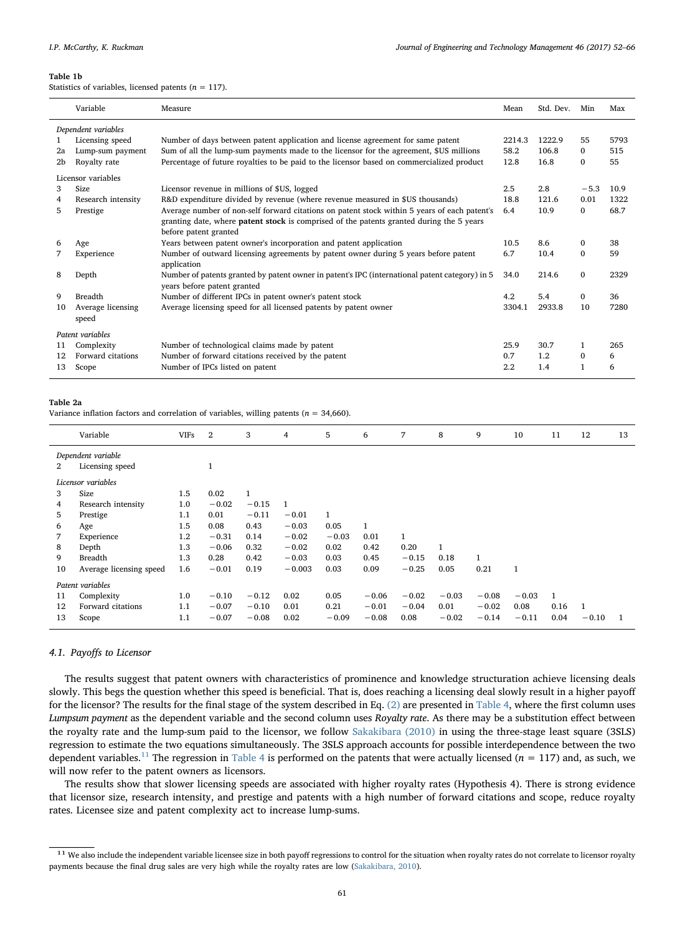#### <span id="page-9-0"></span>Table 1b

|  |  | Statistics of variables, licensed patents ( $n = 117$ ). |  |  |
|--|--|----------------------------------------------------------|--|--|
|--|--|----------------------------------------------------------|--|--|

|    | Variable                   | Measure                                                                                                                       | Mean   | Std. Dev. | Min      | Max  |
|----|----------------------------|-------------------------------------------------------------------------------------------------------------------------------|--------|-----------|----------|------|
|    | Dependent variables        |                                                                                                                               |        |           |          |      |
|    | Licensing speed            | Number of days between patent application and license agreement for same patent                                               | 2214.3 | 1222.9    | 55       | 5793 |
| 2a | Lump-sum payment           | Sum of all the lump-sum payments made to the licensor for the agreement, \$US millions                                        | 58.2   | 106.8     | $\Omega$ | 515  |
| 2b | Royalty rate               | Percentage of future royalties to be paid to the licensor based on commercialized product                                     | 12.8   | 16.8      | 0        | 55   |
|    | Licensor variables         |                                                                                                                               |        |           |          |      |
| 3  | Size                       | Licensor revenue in millions of \$US, logged                                                                                  | 2.5    | 2.8       | $-5.3$   | 10.9 |
| 4  | Research intensity         | R&D expenditure divided by revenue (where revenue measured in \$US thousands)                                                 | 18.8   | 121.6     | 0.01     | 1322 |
| 5  | Prestige                   | Average number of non-self forward citations on patent stock within 5 years of each patent's                                  | 6.4    | 10.9      | 0        | 68.7 |
|    |                            | granting date, where <b>patent stock</b> is comprised of the patents granted during the 5 years<br>before patent granted      |        |           |          |      |
| 6  | Age                        | Years between patent owner's incorporation and patent application                                                             | 10.5   | 8.6       | $\Omega$ | 38   |
| 7  | Experience                 | Number of outward licensing agreements by patent owner during 5 years before patent<br>application                            | 6.7    | 10.4      | $\Omega$ | 59   |
| 8  | Depth                      | Number of patents granted by patent owner in patent's IPC (international patent category) in 5<br>years before patent granted | 34.0   | 214.6     | 0        | 2329 |
| 9  | <b>Breadth</b>             | Number of different IPCs in patent owner's patent stock                                                                       | 4.2    | 5.4       | 0        | 36   |
| 10 | Average licensing<br>speed | Average licensing speed for all licensed patents by patent owner                                                              | 3304.1 | 2933.8    | 10       | 7280 |
|    | Patent variables           |                                                                                                                               |        |           |          |      |
| 11 | Complexity                 | Number of technological claims made by patent                                                                                 | 25.9   | 30.7      | 1        | 265  |
| 12 | Forward citations          | Number of forward citations received by the patent                                                                            | 0.7    | 1.2       | $\Omega$ | 6    |
| 13 | Scope                      | Number of IPCs listed on patent                                                                                               | 2.2    | 1.4       | 1        | 6    |

#### <span id="page-9-1"></span>Table 2a

Variance inflation factors and correlation of variables, willing patents ( $n = 34,660$ ).

|                  | Variable                | <b>VIFs</b> | 2            | 3       | 4        | 5            | 6            | 7            | 8       | 9            | 10      | 11   | 12           | 13 |
|------------------|-------------------------|-------------|--------------|---------|----------|--------------|--------------|--------------|---------|--------------|---------|------|--------------|----|
|                  | Dependent variable      |             |              |         |          |              |              |              |         |              |         |      |              |    |
| $\overline{2}$   | Licensing speed         |             | $\mathbf{1}$ |         |          |              |              |              |         |              |         |      |              |    |
|                  | Licensor variables      |             |              |         |          |              |              |              |         |              |         |      |              |    |
| 3                | Size                    | 1.5         | 0.02         | 1       |          |              |              |              |         |              |         |      |              |    |
| 4                | Research intensity      | 1.0         | $-0.02$      | $-0.15$ | 1        |              |              |              |         |              |         |      |              |    |
| 5                | Prestige                | 1.1         | 0.01         | $-0.11$ | $-0.01$  | $\mathbf{1}$ |              |              |         |              |         |      |              |    |
| 6                | Age                     | 1.5         | 0.08         | 0.43    | $-0.03$  | 0.05         | $\mathbf{1}$ |              |         |              |         |      |              |    |
| 7                | Experience              | 1.2         | $-0.31$      | 0.14    | $-0.02$  | $-0.03$      | 0.01         | $\mathbf{1}$ |         |              |         |      |              |    |
| 8                | Depth                   | 1.3         | $-0.06$      | 0.32    | $-0.02$  | 0.02         | 0.42         | 0.20         |         |              |         |      |              |    |
| 9                | Breadth                 | 1.3         | 0.28         | 0.42    | $-0.03$  | 0.03         | 0.45         | $-0.15$      | 0.18    | $\mathbf{1}$ |         |      |              |    |
| 10               | Average licensing speed | 1.6         | $-0.01$      | 0.19    | $-0.003$ | 0.03         | 0.09         | $-0.25$      | 0.05    | 0.21         | 1       |      |              |    |
| Patent variables |                         |             |              |         |          |              |              |              |         |              |         |      |              |    |
| 11               | Complexity              | 1.0         | $-0.10$      | $-0.12$ | 0.02     | 0.05         | $-0.06$      | $-0.02$      | $-0.03$ | $-0.08$      | $-0.03$ | 1    |              |    |
| 12               | Forward citations       | 1.1         | $-0.07$      | $-0.10$ | 0.01     | 0.21         | $-0.01$      | $-0.04$      | 0.01    | $-0.02$      | 0.08    | 0.16 | $\mathbf{1}$ |    |
| 13               | Scope                   | 1.1         | $-0.07$      | $-0.08$ | 0.02     | $-0.09$      | $-0.08$      | 0.08         | $-0.02$ | $-0.14$      | $-0.11$ | 0.04 | $-0.10$      |    |

## 4.1. Payoffs to Licensor

The results suggest that patent owners with characteristics of prominence and knowledge structuration achieve licensing deals slowly. This begs the question whether this speed is beneficial. That is, does reaching a licensing deal slowly result in a higher payoff for the licensor? The results for the final stage of the system described in Eq. [\(2\)](#page-5-3) are presented in [Table 4,](#page-11-0) where the first column uses Lumpsum payment as the dependent variable and the second column uses Royalty rate. As there may be a substitution effect between the royalty rate and the lump-sum paid to the licensor, we follow [Sakakibara \(2010\)](#page-14-20) in using the three-stage least square (3SLS) regression to estimate the two equations simultaneously. The 3SLS approach accounts for possible interdependence between the two dependent variables.<sup>[11](#page-9-2)</sup> The regression in [Table 4](#page-11-0) is performed on the patents that were actually licensed ( $n = 117$ ) and, as such, we will now refer to the patent owners as licensors.

The results show that slower licensing speeds are associated with higher royalty rates (Hypothesis 4). There is strong evidence that licensor size, research intensity, and prestige and patents with a high number of forward citations and scope, reduce royalty rates. Licensee size and patent complexity act to increase lump-sums.

<span id="page-9-2"></span> $^{\rm 11}$  We also include the independent variable licensee size in both payoff regressions to control for the situation when royalty rates do not correlate to licensor royalty payments because the final drug sales are very high while the royalty rates are low ([Sakakibara, 2010](#page-14-20)).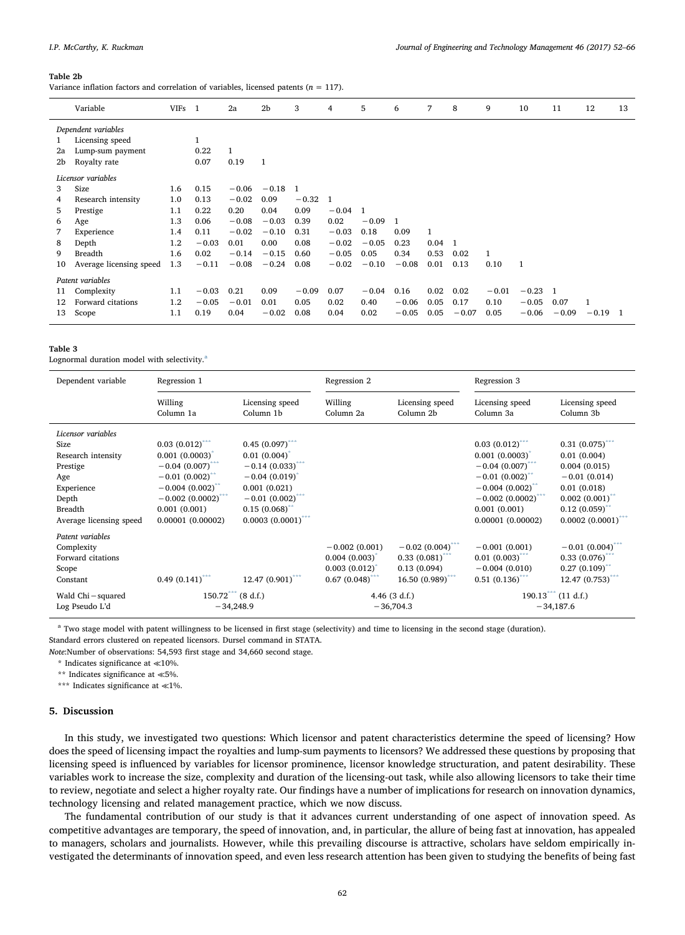#### <span id="page-10-0"></span>Table 2b

Variance inflation factors and correlation of variables, licensed patents ( $n = 117$ ).

|    | Variable                | <b>VIFs</b> | $\overline{1}$ | 2a      | 2 <sub>b</sub> | 3            | 4              | 5       | 6            | 7            | 8              | 9       | 10      | 11             | 12      | 13  |
|----|-------------------------|-------------|----------------|---------|----------------|--------------|----------------|---------|--------------|--------------|----------------|---------|---------|----------------|---------|-----|
|    | Dependent variables     |             |                |         |                |              |                |         |              |              |                |         |         |                |         |     |
| 1  | Licensing speed         |             | 1              |         |                |              |                |         |              |              |                |         |         |                |         |     |
| 2a | Lump-sum payment        |             | 0.22           | 1       |                |              |                |         |              |              |                |         |         |                |         |     |
| 2b | Royalty rate            |             | 0.07           | 0.19    | 1              |              |                |         |              |              |                |         |         |                |         |     |
|    | Licensor variables      |             |                |         |                |              |                |         |              |              |                |         |         |                |         |     |
| 3  | Size                    | 1.6         | 0.15           | $-0.06$ | $-0.18$        | $\mathbf{1}$ |                |         |              |              |                |         |         |                |         |     |
| 4  | Research intensity      | 1.0         | 0.13           | $-0.02$ | 0.09           | $-0.32$      | $\overline{1}$ |         |              |              |                |         |         |                |         |     |
| 5  | Prestige                | 1.1         | 0.22           | 0.20    | 0.04           | 0.09         | $-0.04$        | 1       |              |              |                |         |         |                |         |     |
| 6  | Age                     | 1.3         | 0.06           | $-0.08$ | $-0.03$        | 0.39         | 0.02           | $-0.09$ | $\mathbf{1}$ |              |                |         |         |                |         |     |
| 7  | Experience              | 1.4         | 0.11           | $-0.02$ | $-0.10$        | 0.31         | $-0.03$        | 0.18    | 0.09         | $\mathbf{1}$ |                |         |         |                |         |     |
| 8  | Depth                   | 1.2         | $-0.03$        | 0.01    | 0.00           | 0.08         | $-0.02$        | $-0.05$ | 0.23         | 0.04         | $\overline{1}$ |         |         |                |         |     |
| 9  | <b>Breadth</b>          | 1.6         | 0.02           | $-0.14$ | $-0.15$        | 0.60         | $-0.05$        | 0.05    | 0.34         | 0.53         | 0.02           | 1       |         |                |         |     |
| 10 | Average licensing speed | 1.3         | $-0.11$        | $-0.08$ | $-0.24$        | 0.08         | $-0.02$        | $-0.10$ | $-0.08$      | 0.01         | 0.13           | 0.10    | 1       |                |         |     |
|    | Patent variables        |             |                |         |                |              |                |         |              |              |                |         |         |                |         |     |
| 11 | Complexity              | 1.1         | $-0.03$        | 0.21    | 0.09           | $-0.09$      | 0.07           | $-0.04$ | 0.16         | 0.02         | 0.02           | $-0.01$ | $-0.23$ | $\overline{1}$ |         |     |
| 12 | Forward citations       | 1.2         | $-0.05$        | $-0.01$ | 0.01           | 0.05         | 0.02           | 0.40    | $-0.06$      | 0.05         | 0.17           | 0.10    | $-0.05$ | 0.07           |         |     |
| 13 | Scope                   | 1.1         | 0.19           | 0.04    | $-0.02$        | 0.08         | 0.04           | 0.02    | $-0.05$      | 0.05         | $-0.07$        | 0.05    | $-0.06$ | $-0.09$        | $-0.19$ | - 1 |

#### <span id="page-10-1"></span>Table 3

Lognorm[a](#page-10-2)l duration model with selectivity.<sup>a</sup>

| Dependent variable                                                                                                               | Regression 1                                                                                                                                                  |                                                                                                                                                       | Regression 2                                                          |                                                                                | Regression 3                                                                                                                                                                |                                                                                                                                                                  |  |  |
|----------------------------------------------------------------------------------------------------------------------------------|---------------------------------------------------------------------------------------------------------------------------------------------------------------|-------------------------------------------------------------------------------------------------------------------------------------------------------|-----------------------------------------------------------------------|--------------------------------------------------------------------------------|-----------------------------------------------------------------------------------------------------------------------------------------------------------------------------|------------------------------------------------------------------------------------------------------------------------------------------------------------------|--|--|
|                                                                                                                                  | Willing<br>Column 1a                                                                                                                                          | Licensing speed<br>Column 1b                                                                                                                          | Willing<br>Column 2a                                                  | Licensing speed<br>Column 2b                                                   | Licensing speed<br>Column 3a                                                                                                                                                | Licensing speed<br>Column 3b                                                                                                                                     |  |  |
| Licensor variables<br>Size<br>Research intensity<br>Prestige<br>Age<br>Experience<br>Depth<br>Breadth<br>Average licensing speed | $0.03(0.012)$ ***<br>0.001(0.0003)<br>$-0.04(0.007)$ ***<br>$-0.01(0.002)$<br>$-0.004(0.002)^{4}$<br>$-0.002(0.0002)$ ***<br>0.001(0.001)<br>0.00001(0.00002) | $0.45(0.097)$ ***<br>0.01(0.004)<br>$-0.14(0.033)$ ***<br>$-0.04(0.019)$<br>0.001(0.021)<br>$-0.01(0.002)$ ***<br>0.15(0.068)<br>$0.0003(0.0001)$ *** |                                                                       |                                                                                | $0.03(0.012)$ <sup>***</sup><br>0.001(0.0003)<br>$-0.04(0.007)$ ***<br>$-0.01(0.002)$<br>$-0.004(0.002)^{11}$<br>$-0.002(0.0002)^{***}$<br>0.001(0.001)<br>0.00001(0.00002) | $0.31(0.075)$ <sup>***</sup><br>0.01(0.004)<br>0.004(0.015)<br>$-0.01(0.014)$<br>0.01(0.018)<br>$0.002(0.001)^{3}$<br>$0.12(0.059)$ **<br>$0.0002(0.0001)^{***}$ |  |  |
| Patent variables<br>Complexity<br>Forward citations<br>Scope<br>Constant                                                         | $0.49(0.141)$ ***                                                                                                                                             | $12.47 (0.901)$ ***                                                                                                                                   | $-0.002(0.001)$<br>0.004(0.003)<br>0.003(0.012)<br>$0.67 (0.048)$ *** | $-0.02(0.004)^{***}$<br>$0.33(0.081)$ ***<br>0.13(0.094)<br>$16.50(0.989)$ *** | $-0.001(0.001)$<br>0.01(0.003)<br>$-0.004(0.010)$<br>0.51(0.136)                                                                                                            | $-0.01(0.004)^{***}$<br>$0.33(0.076)$ <sup>***</sup><br>0.27(0.109)<br>$12.47 (0.753)$ ***                                                                       |  |  |
| Wald Chi-squared<br>Log Pseudo L'd                                                                                               | $150.72$ <sup>***</sup> (8 d.f.)<br>$-34,248.9$                                                                                                               |                                                                                                                                                       |                                                                       | 4.46 $(3 d.f.)$<br>$-36,704.3$                                                 | $190.13***$ (11 d.f.)<br>$-34,187.6$                                                                                                                                        |                                                                                                                                                                  |  |  |

<span id="page-10-2"></span><sup>a</sup> Two stage model with patent willingness to be licensed in first stage (selectivity) and time to licensing in the second stage (duration). Standard errors clustered on repeated licensors. Dursel command in STATA.

Note:Number of observations: 54,593 first stage and 34,660 second stage.

<span id="page-10-4"></span>\* Indicates significance at ≪10%.

<span id="page-10-5"></span>\*\* Indicates significance at ≪5%.

<span id="page-10-3"></span>\*\*\* Indicates significance at ≪1%.

## 5. Discussion

In this study, we investigated two questions: Which licensor and patent characteristics determine the speed of licensing? How does the speed of licensing impact the royalties and lump-sum payments to licensors? We addressed these questions by proposing that licensing speed is influenced by variables for licensor prominence, licensor knowledge structuration, and patent desirability. These variables work to increase the size, complexity and duration of the licensing-out task, while also allowing licensors to take their time to review, negotiate and select a higher royalty rate. Our findings have a number of implications for research on innovation dynamics, technology licensing and related management practice, which we now discuss.

The fundamental contribution of our study is that it advances current understanding of one aspect of innovation speed. As competitive advantages are temporary, the speed of innovation, and, in particular, the allure of being fast at innovation, has appealed to managers, scholars and journalists. However, while this prevailing discourse is attractive, scholars have seldom empirically investigated the determinants of innovation speed, and even less research attention has been given to studying the benefits of being fast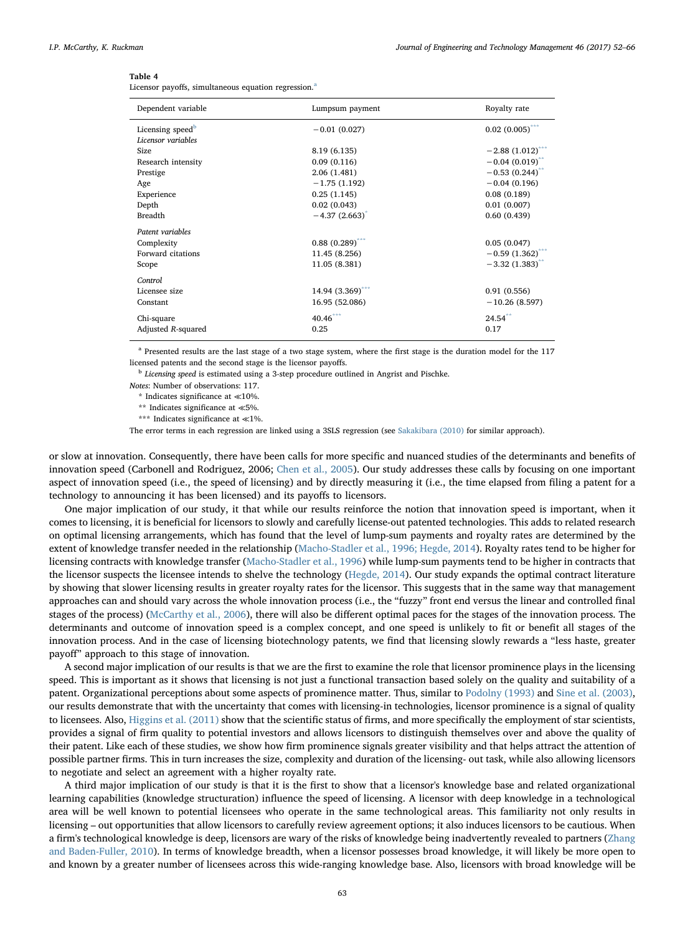## <span id="page-11-0"></span>Table 4

| Licensor payoffs, simultaneous equation regression. <sup>a</sup> |  |
|------------------------------------------------------------------|--|
|------------------------------------------------------------------|--|

| Dependent variable | Lumpsum payment             | Royalty rate                |
|--------------------|-----------------------------|-----------------------------|
| Licensing speedb   | $-0.01(0.027)$              | $0.02$ $(0.005)$ ***        |
| Licensor variables |                             |                             |
| Size               | 8.19 (6.135)                | $-2.88(1.012)$ ***          |
| Research intensity | 0.09(0.116)                 | $-0.04(0.019)$ <sup>*</sup> |
| Prestige           | 2.06(1.481)                 | $-0.53(0.244)$              |
| Age                | $-1.75(1.192)$              | $-0.04(0.196)$              |
| Experience         | 0.25(1.145)                 | 0.08(0.189)                 |
| Depth              | 0.02(0.043)                 | 0.01(0.007)                 |
| <b>Breadth</b>     | $-4.37(2.663)$ <sup>*</sup> | 0.60(0.439)                 |
| Patent variables   |                             |                             |
| Complexity         | 0.88(0.289)                 | 0.05(0.047)                 |
| Forward citations  | 11.45 (8.256)               | $-0.59(1.362)^{***}$        |
| Scope              | 11.05 (8.381)               | $-3.32(1.383)$              |
| Control            |                             |                             |
| Licensee size      | 14.94 (3.369)***            | 0.91(0.556)                 |
| Constant           | 16.95 (52.086)              | $-10.26(8.597)$             |
| Chi-square         | 40.46***                    | $24.54$ **                  |
| Adjusted R-squared | 0.25                        | 0.17                        |
|                    |                             |                             |

<span id="page-11-1"></span><sup>a</sup> Presented results are the last stage of a two stage system, where the first stage is the duration model for the 117 licensed patents and the second stage is the licensor payoffs.

<span id="page-11-2"></span><sup>b</sup> Licensing speed is estimated using a 3-step procedure outlined in Angrist and Pischke.

Notes: Number of observations: 117.

<span id="page-11-5"></span>\* Indicates significance at ≪10%.

<span id="page-11-4"></span>\*\* Indicates significance at ≪5%.

<span id="page-11-3"></span>\*\*\* Indicates significance at ≪1%.

The error terms in each regression are linked using a 3SLS regression (see [Sakakibara \(2010\)](#page-14-20) for similar approach).

or slow at innovation. Consequently, there have been calls for more specific and nuanced studies of the determinants and benefits of innovation speed (Carbonell and Rodriguez, 2006; [Chen et al., 2005\)](#page-13-40). Our study addresses these calls by focusing on one important aspect of innovation speed (i.e., the speed of licensing) and by directly measuring it (i.e., the time elapsed from filing a patent for a technology to announcing it has been licensed) and its payoffs to licensors.

One major implication of our study, it that while our results reinforce the notion that innovation speed is important, when it comes to licensing, it is beneficial for licensors to slowly and carefully license-out patented technologies. This adds to related research on optimal licensing arrangements, which has found that the level of lump-sum payments and royalty rates are determined by the extent of knowledge transfer needed in the relationship [\(Macho-Stadler et al., 1996; Hegde, 2014](#page-14-33)). Royalty rates tend to be higher for licensing contracts with knowledge transfer ([Macho-Stadler et al., 1996](#page-14-33)) while lump-sum payments tend to be higher in contracts that the licensor suspects the licensee intends to shelve the technology [\(Hegde, 2014](#page-13-5)). Our study expands the optimal contract literature by showing that slower licensing results in greater royalty rates for the licensor. This suggests that in the same way that management approaches can and should vary across the whole innovation process (i.e., the "fuzzy" front end versus the linear and controlled final stages of the process) [\(McCarthy et al., 2006\)](#page-14-34), there will also be different optimal paces for the stages of the innovation process. The determinants and outcome of innovation speed is a complex concept, and one speed is unlikely to fit or benefit all stages of the innovation process. And in the case of licensing biotechnology patents, we find that licensing slowly rewards a "less haste, greater payoff" approach to this stage of innovation.

A second major implication of our results is that we are the first to examine the role that licensor prominence plays in the licensing speed. This is important as it shows that licensing is not just a functional transaction based solely on the quality and suitability of a patent. Organizational perceptions about some aspects of prominence matter. Thus, similar to [Podolny \(1993\)](#page-14-35) and [Sine et al. \(2003\),](#page-14-13) our results demonstrate that with the uncertainty that comes with licensing-in technologies, licensor prominence is a signal of quality to licensees. Also, [Higgins et al. \(2011\)](#page-13-41) show that the scientific status of firms, and more specifically the employment of star scientists, provides a signal of firm quality to potential investors and allows licensors to distinguish themselves over and above the quality of their patent. Like each of these studies, we show how firm prominence signals greater visibility and that helps attract the attention of possible partner firms. This in turn increases the size, complexity and duration of the licensing- out task, while also allowing licensors to negotiate and select an agreement with a higher royalty rate.

A third major implication of our study is that it is the first to show that a licensor's knowledge base and related organizational learning capabilities (knowledge structuration) influence the speed of licensing. A licensor with deep knowledge in a technological area will be well known to potential licensees who operate in the same technological areas. This familiarity not only results in licensing – out opportunities that allow licensors to carefully review agreement options; it also induces licensors to be cautious. When a firm's technological knowledge is deep, licensors are wary of the risks of knowledge being inadvertently revealed to partners [\(Zhang](#page-14-16) [and Baden-Fuller, 2010](#page-14-16)). In terms of knowledge breadth, when a licensor possesses broad knowledge, it will likely be more open to and known by a greater number of licensees across this wide-ranging knowledge base. Also, licensors with broad knowledge will be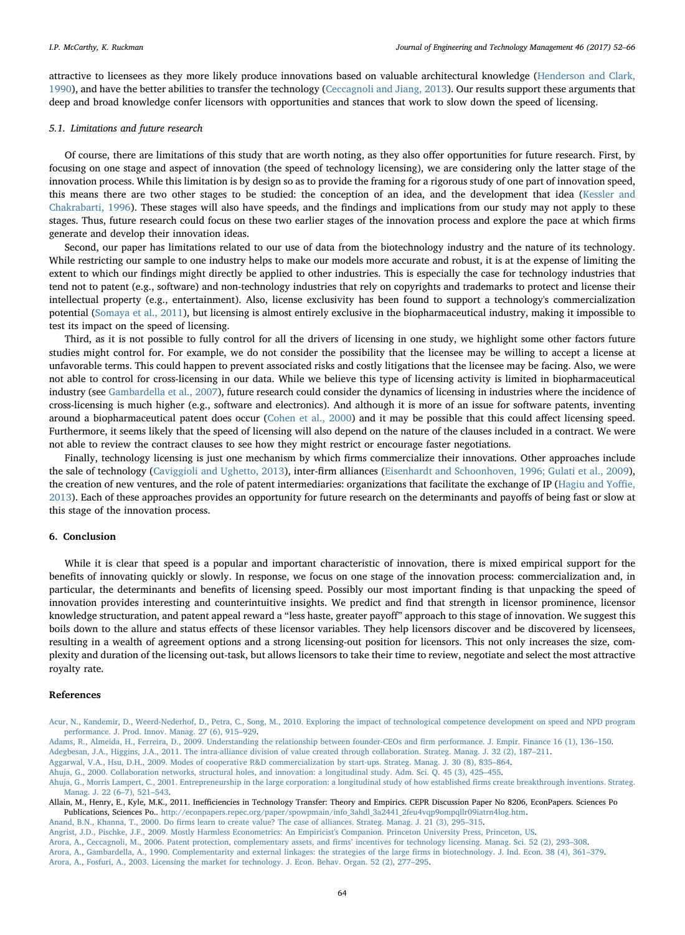attractive to licensees as they more likely produce innovations based on valuable architectural knowledge [\(Henderson and Clark,](#page-13-42) [1990\)](#page-13-42), and have the better abilities to transfer the technology [\(Ceccagnoli and Jiang, 2013\)](#page-13-21). Our results support these arguments that deep and broad knowledge confer licensors with opportunities and stances that work to slow down the speed of licensing.

#### 5.1. Limitations and future research

Of course, there are limitations of this study that are worth noting, as they also offer opportunities for future research. First, by focusing on one stage and aspect of innovation (the speed of technology licensing), we are considering only the latter stage of the innovation process. While this limitation is by design so as to provide the framing for a rigorous study of one part of innovation speed, this means there are two other stages to be studied: the conception of an idea, and the development that idea [\(Kessler and](#page-13-0) [Chakrabarti, 1996\)](#page-13-0). These stages will also have speeds, and the findings and implications from our study may not apply to these stages. Thus, future research could focus on these two earlier stages of the innovation process and explore the pace at which firms generate and develop their innovation ideas.

Second, our paper has limitations related to our use of data from the biotechnology industry and the nature of its technology. While restricting our sample to one industry helps to make our models more accurate and robust, it is at the expense of limiting the extent to which our findings might directly be applied to other industries. This is especially the case for technology industries that tend not to patent (e.g., software) and non-technology industries that rely on copyrights and trademarks to protect and license their intellectual property (e.g., entertainment). Also, license exclusivity has been found to support a technology's commercialization potential ([Somaya et al., 2011\)](#page-14-36), but licensing is almost entirely exclusive in the biopharmaceutical industry, making it impossible to test its impact on the speed of licensing.

Third, as it is not possible to fully control for all the drivers of licensing in one study, we highlight some other factors future studies might control for. For example, we do not consider the possibility that the licensee may be willing to accept a license at unfavorable terms. This could happen to prevent associated risks and costly litigations that the licensee may be facing. Also, we were not able to control for cross-licensing in our data. While we believe this type of licensing activity is limited in biopharmaceutical industry (see [Gambardella et al., 2007](#page-13-8)), future research could consider the dynamics of licensing in industries where the incidence of cross-licensing is much higher (e.g., software and electronics). And although it is more of an issue for software patents, inventing around a biopharmaceutical patent does occur ([Cohen et al., 2000\)](#page-13-10) and it may be possible that this could affect licensing speed. Furthermore, it seems likely that the speed of licensing will also depend on the nature of the clauses included in a contract. We were not able to review the contract clauses to see how they might restrict or encourage faster negotiations.

Finally, technology licensing is just one mechanism by which firms commercialize their innovations. Other approaches include the sale of technology ([Caviggioli and Ughetto, 2013](#page-13-43)), inter-firm alliances [\(Eisenhardt and Schoonhoven, 1996; Gulati et al., 2009\)](#page-13-44), the creation of new ventures, and the role of patent intermediaries: organizations that facilitate the exchange of IP ([Hagiu and Yo](#page-13-45)ffie, [2013\)](#page-13-45). Each of these approaches provides an opportunity for future research on the determinants and payoffs of being fast or slow at this stage of the innovation process.

### 6. Conclusion

While it is clear that speed is a popular and important characteristic of innovation, there is mixed empirical support for the benefits of innovating quickly or slowly. In response, we focus on one stage of the innovation process: commercialization and, in particular, the determinants and benefits of licensing speed. Possibly our most important finding is that unpacking the speed of innovation provides interesting and counterintuitive insights. We predict and find that strength in licensor prominence, licensor knowledge structuration, and patent appeal reward a "less haste, greater payoff" approach to this stage of innovation. We suggest this boils down to the allure and status effects of these licensor variables. They help licensors discover and be discovered by licensees, resulting in a wealth of agreement options and a strong licensing-out position for licensors. This not only increases the size, complexity and duration of the licensing out-task, but allows licensors to take their time to review, negotiate and select the most attractive royalty rate.

## References

<span id="page-12-0"></span>[Acur, N., Kandemir, D., Weerd-Nederhof, D., Petra, C., Song, M., 2010. Exploring the impact of technological competence development on speed and NPD program](http://refhub.elsevier.com/S0923-4748(17)30409-5/sbref0005) [performance. J. Prod. Innov. Manag. 27 \(6\), 915](http://refhub.elsevier.com/S0923-4748(17)30409-5/sbref0005)–929.

<span id="page-12-9"></span>[Adams, R., Almeida, H., Ferreira, D., 2009. Understanding the relationship between founder-CEOs and](http://refhub.elsevier.com/S0923-4748(17)30409-5/sbref0010) firm performance. J. Empir. Finance 16 (1), 136–150.

<span id="page-12-8"></span>[Adegbesan, J.A., Higgins, J.A., 2011. The intra-alliance division of value created through collaboration. Strateg. Manag. J. 32 \(2\), 187](http://refhub.elsevier.com/S0923-4748(17)30409-5/sbref0015)–211.

<span id="page-12-3"></span>[Aggarwal, V.A., Hsu, D.H., 2009. Modes of cooperative R&D commercialization by start-ups. Strateg. Manag. J. 30 \(8\), 835](http://refhub.elsevier.com/S0923-4748(17)30409-5/sbref0020)–864.

<span id="page-12-6"></span>[Ahuja, G., 2000. Collaboration networks, structural holes, and innovation: a longitudinal study. Adm. Sci. Q. 45 \(3\), 425](http://refhub.elsevier.com/S0923-4748(17)30409-5/sbref0025)–455.

<span id="page-12-4"></span>[Ahuja, G., Morris Lampert, C., 2001. Entrepreneurship in the large corporation: a longitudinal study of how established](http://refhub.elsevier.com/S0923-4748(17)30409-5/sbref0030) firms create breakthrough inventions. Strateg. [Manag. J. 22 \(6](http://refhub.elsevier.com/S0923-4748(17)30409-5/sbref0030)–7), 521–543.

<span id="page-12-1"></span>Allain, M., Henry, E., Kyle, M.K., 2011. Inefficiencies in Technology Transfer: Theory and Empirics. CEPR Discussion Paper No 8206, EconPapers. Sciences Po Publications, Sciences Po.. [http://econpapers.repec.org/paper/spowpmain/info\\_3ahdl\\_3a2441\\_2feu4vqp9ompqllr09iatrn4log.htm](http://econpapers.repec.org/paper/spowpmain/info_3ahdl_3a2441_2feu4vqp9ompqllr09iatrn4log.htm).

<span id="page-12-7"></span>Anand, B.N., Khanna, T., 2000. Do fi[rms learn to create value? The case of alliances. Strateg. Manag. J. 21 \(3\), 295](http://refhub.elsevier.com/S0923-4748(17)30409-5/sbref0040)–315.

<span id="page-12-10"></span>[Angrist, J.D., Pischke, J.F., 2009. Mostly Harmless Econometrics: An Empiricist's Companion. Princeton University Press, Princeton, US](http://refhub.elsevier.com/S0923-4748(17)30409-5/sbref0045).

<span id="page-12-2"></span>[Arora, A., Ceccagnoli, M., 2006. Patent protection, complementary assets, and](http://refhub.elsevier.com/S0923-4748(17)30409-5/sbref0050) firms' incentives for technology licensing. Manag. Sci. 52 (2), 293–308.

<span id="page-12-11"></span><span id="page-12-5"></span>[Arora, A., Gambardella, A., 1990. Complementarity and external linkages: the strategies of the large](http://refhub.elsevier.com/S0923-4748(17)30409-5/sbref0055) firms in biotechnology. J. Ind. Econ. 38 (4), 361–379. [Arora, A., Fosfuri, A., 2003. Licensing the market for technology. J. Econ. Behav. Organ. 52 \(2\), 277](http://refhub.elsevier.com/S0923-4748(17)30409-5/sbref0060)–295.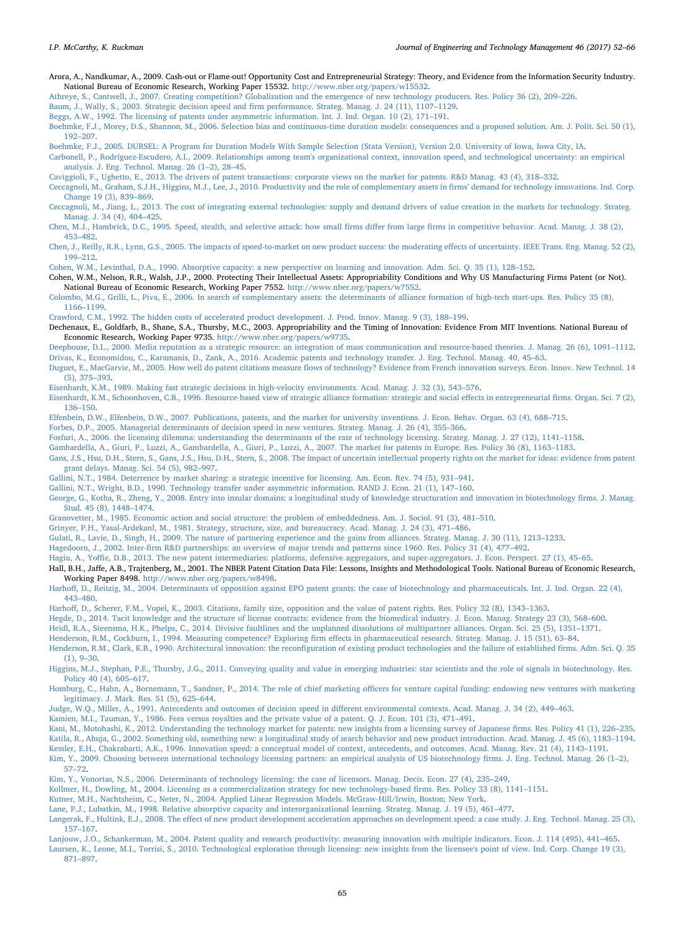<span id="page-13-27"></span>Arora, A., Nandkumar, A., 2009. Cash-out or Flame-out! Opportunity Cost and Entrepreneurial Strategy: Theory, and Evidence from the Information Security Industry. National Bureau of Economic Research, Working Paper 15532. <http://www.nber.org/papers/w15532>.

<span id="page-13-4"></span>[Athreye, S., Cantwell, J., 2007. Creating competition? Globalization and the emergence of new technology producers. Res. Policy 36 \(2\), 209](http://refhub.elsevier.com/S0923-4748(17)30409-5/sbref0070)–226.

<span id="page-13-16"></span>[Baum, J., Wally, S., 2003. Strategic decision speed and](http://refhub.elsevier.com/S0923-4748(17)30409-5/sbref0075) firm performance. Strateg. Manag. J. 24 (11), 1107–1129.

[Beggs, A.W., 1992. The licensing of patents under asymmetric information. Int. J. Ind. Organ. 10 \(2\), 171](http://refhub.elsevier.com/S0923-4748(17)30409-5/sbref0080)–191.

<span id="page-13-28"></span>[Boehmke, F.J., Morey, D.S., Shannon, M., 2006. Selection bias and continuous-time duration models: consequences and a proposed solution. Am. J. Polit. Sci. 50 \(1\),](http://refhub.elsevier.com/S0923-4748(17)30409-5/sbref0085) 192–[207.](http://refhub.elsevier.com/S0923-4748(17)30409-5/sbref0085)

<span id="page-13-30"></span>[Boehmke, F.J., 2005. DURSEL: A Program for Duration Models With Sample Selection \(Stata Version\), Version 2.0. University of Iowa, Iowa City, IA](http://refhub.elsevier.com/S0923-4748(17)30409-5/sbref0090).

<span id="page-13-3"></span>[Carbonell, P., Rodríguez-Escudero, A.I., 2009. Relationships among team's organizational context, innovation speed, and technological uncertainty: an empirical](http://refhub.elsevier.com/S0923-4748(17)30409-5/sbref0095) [analysis. J. Eng. Technol. Manag. 26 \(1](http://refhub.elsevier.com/S0923-4748(17)30409-5/sbref0095)–2), 28–45.

<span id="page-13-43"></span>[Caviggioli, F., Ughetto, E., 2013. The drivers of patent transactions: corporate views on the market for patents. R&D Manag. 43 \(4\), 318](http://refhub.elsevier.com/S0923-4748(17)30409-5/sbref0100)–332.

<span id="page-13-23"></span>[Ceccagnoli, M., Graham, S.J.H., Higgins, M.J., Lee, J., 2010. Productivity and the role of complementary assets in](http://refhub.elsevier.com/S0923-4748(17)30409-5/sbref0105) firms' demand for technology innovations. Ind. Corp. [Change 19 \(3\), 839](http://refhub.elsevier.com/S0923-4748(17)30409-5/sbref0105)–869.

<span id="page-13-21"></span>[Ceccagnoli, M., Jiang, L., 2013. The cost of integrating external technologies: supply and demand drivers of value creation in the markets for technology. Strateg.](http://refhub.elsevier.com/S0923-4748(17)30409-5/sbref0110) [Manag. J. 34 \(4\), 404](http://refhub.elsevier.com/S0923-4748(17)30409-5/sbref0110)–425.

<span id="page-13-15"></span>[Chen, M.J., Hambrick, D.C., 1995. Speed, stealth, and selective attack: how small](http://refhub.elsevier.com/S0923-4748(17)30409-5/sbref0115) firms differ from large firms in competitive behavior. Acad. Manag. J. 38 (2), 453–[482.](http://refhub.elsevier.com/S0923-4748(17)30409-5/sbref0115)

<span id="page-13-40"></span>[Chen, J., Reilly, R.R., Lynn, G.S., 2005. The impacts of speed-to-market on new product success: the moderating e](http://refhub.elsevier.com/S0923-4748(17)30409-5/sbref0120)ffects of uncertainty. IEEE Trans. Eng. Manag. 52 (2), 199–[212.](http://refhub.elsevier.com/S0923-4748(17)30409-5/sbref0120)

<span id="page-13-33"></span>[Cohen, W.M., Levinthal, D.A., 1990. Absorptive capacity: a new perspective on learning and innovation. Adm. Sci. Q. 35 \(1\), 128](http://refhub.elsevier.com/S0923-4748(17)30409-5/sbref0125)–152.

<span id="page-13-10"></span>Cohen, W.M., Nelson, R.R., Walsh, J.P., 2000. Protecting Their Intellectual Assets: Appropriability Conditions and Why US Manufacturing Firms Patent (or Not). National Bureau of Economic Research, Working Paper 7552. <http://www.nber.org/papers/w7552>.

<span id="page-13-29"></span>[Colombo, M.G., Grilli, L., Piva, E., 2006. In search of complementary assets: the determinants of alliance formation of high-tech start-ups. Res. Policy 35 \(8\),](http://refhub.elsevier.com/S0923-4748(17)30409-5/sbref0135) 1166–[1199.](http://refhub.elsevier.com/S0923-4748(17)30409-5/sbref0135)

<span id="page-13-2"></span>[Crawford, C.M., 1992. The hidden costs of accelerated product development. J. Prod. Innov. Manag. 9 \(3\), 188](http://refhub.elsevier.com/S0923-4748(17)30409-5/sbref0140)–199.

Dechenaux, E., Goldfarb, B., Shane, S.A., Thursby, M.C., 2003. Appropriability and the Timing of Innovation: Evidence From MIT Inventions. National Bureau of Economic Research, Working Paper 9735. [http://www.nber.org/papers/w9735.](http://www.nber.org/papers/w9735)

<span id="page-13-12"></span>[Deephouse, D.L., 2000. Media reputation as a strategic resource: an integration of mass communication and resource-based theories. J. Manag. 26 \(6\), 1091](http://refhub.elsevier.com/S0923-4748(17)30409-5/sbref0150)–1112. [Drivas, K., Economidou, C., Karamanis, D., Zank, A., 2016. Academic patents and technology transfer. J. Eng. Technol. Manag. 40, 45](http://refhub.elsevier.com/S0923-4748(17)30409-5/sbref0155)–63.

<span id="page-13-22"></span>Duguet, E., MacGarvie, M., 2005. How well do patent citations measure fl[ows of technology? Evidence from French innovation surveys. Econ. Innov. New Technol. 14](http://refhub.elsevier.com/S0923-4748(17)30409-5/sbref0160) [\(5\), 375](http://refhub.elsevier.com/S0923-4748(17)30409-5/sbref0160)–393.

<span id="page-13-1"></span>[Eisenhardt, K.M., 1989. Making fast strategic decisions in high-velocity environments. Acad. Manag. J. 32 \(3\), 543](http://refhub.elsevier.com/S0923-4748(17)30409-5/sbref0165)–576.

<span id="page-13-44"></span>[Eisenhardt, K.M., Schoonhoven, C.B., 1996. Resource-based view of strategic alliance formation: strategic and social e](http://refhub.elsevier.com/S0923-4748(17)30409-5/sbref0170)ffects in entrepreneurial firms. Organ. Sci. 7 (2), 136–[150.](http://refhub.elsevier.com/S0923-4748(17)30409-5/sbref0170)

<span id="page-13-7"></span>[Elfenbein, D.W., Elfenbein, D.W., 2007. Publications, patents, and the market for university inventions. J. Econ. Behav. Organ. 63 \(4\), 688](http://refhub.elsevier.com/S0923-4748(17)30409-5/sbref0175)–715.

<span id="page-13-13"></span>[Forbes, D.P., 2005. Managerial determinants of decision speed in new ventures. Strateg. Manag. J. 26 \(4\), 355](http://refhub.elsevier.com/S0923-4748(17)30409-5/sbref0180)–366.

<span id="page-13-18"></span>[Fosfuri, A., 2006. the licensing dilemma: understanding the determinants of the rate of technology licensing. Strateg. Manag. J. 27 \(12\), 1141](http://refhub.elsevier.com/S0923-4748(17)30409-5/sbref0185)–1158.

<span id="page-13-8"></span>[Gambardella, A., Giuri, P., Luzzi, A., Gambardella, A., Giuri, P., Luzzi, A., 2007. The market for patents in Europe. Res. Policy 36 \(8\), 1163](http://refhub.elsevier.com/S0923-4748(17)30409-5/sbref0190)–1183.

<span id="page-13-6"></span>[Gans, J.S., Hsu, D.H., Stern, S., Gans, J.S., Hsu, D.H., Stern, S., 2008. The impact of uncertain intellectual property rights on the market for ideas: evidence from patent](http://refhub.elsevier.com/S0923-4748(17)30409-5/sbref0195) [grant delays. Manag. Sci. 54 \(5\), 982](http://refhub.elsevier.com/S0923-4748(17)30409-5/sbref0195)–997.

<span id="page-13-9"></span>[Gallini, N.T., 1984. Deterrence by market sharing: a strategic incentive for licensing. Am. Econ. Rev. 74 \(5\), 931](http://refhub.elsevier.com/S0923-4748(17)30409-5/sbref0200)–941.

<span id="page-13-25"></span>[Gallini, N.T., Wright, B.D., 1990. Technology transfer under asymmetric information. RAND J. Econ. 21 \(1\), 147](http://refhub.elsevier.com/S0923-4748(17)30409-5/sbref0205)–160.

<span id="page-13-11"></span>[George, G., Kotha, R., Zheng, Y., 2008. Entry into insular domains: a longitudinal study of knowledge structuration and innovation in biotechnology](http://refhub.elsevier.com/S0923-4748(17)30409-5/sbref0210) firms. J. Manag. [Stud. 45 \(8\), 1448](http://refhub.elsevier.com/S0923-4748(17)30409-5/sbref0210)–1474.

<span id="page-13-17"></span>[Granovetter, M., 1985. Economic action and social structure: the problem of embeddedness. Am. J. Sociol. 91 \(3\), 481](http://refhub.elsevier.com/S0923-4748(17)30409-5/sbref0215)–510.

[Grinyer, P.H., Yasal-Ardekanl, M., 1981. Strategy, structure, size, and bureaucracy. Acad. Manag. J. 24 \(3\), 471](http://refhub.elsevier.com/S0923-4748(17)30409-5/sbref0220)–486.

[Gulati, R., Lavie, D., Singh, H., 2009. The nature of partnering experience and the gains from alliances. Strateg. Manag. J. 30 \(11\), 1213](http://refhub.elsevier.com/S0923-4748(17)30409-5/sbref0225)–1233.

Hagedoorn, J., 2002. Inter-fi[rm R&D partnerships: an overview of major trends and patterns since 1960. Res. Policy 31 \(4\), 477](http://refhub.elsevier.com/S0923-4748(17)30409-5/sbref0230)–492.

<span id="page-13-45"></span>Hagiu, A., Yoffi[e, D.B., 2013. The new patent intermediaries: platforms, defensive aggregators, and super-aggregators. J. Econ. Perspect. 27 \(1\), 45](http://refhub.elsevier.com/S0923-4748(17)30409-5/sbref0235)–65.

<span id="page-13-24"></span>Hall, B.H., Jaffe, A.B., Trajtenberg, M., 2001. The NBER Patent Citation Data File: Lessons, Insights and Methodological Tools. National Bureau of Economic Research, Working Paper 8498. <http://www.nber.org/papers/w8498>.

<span id="page-13-38"></span>Harhoff[, D., Reitzig, M., 2004. Determinants of opposition against EPO patent grants: the case of biotechnology and pharmaceuticals. Int. J. Ind. Organ. 22 \(4\),](http://refhub.elsevier.com/S0923-4748(17)30409-5/sbref0245) 443–[480.](http://refhub.elsevier.com/S0923-4748(17)30409-5/sbref0245)

Harhoff, [D., Scherer, F.M., Vopel, K., 2003. Citations, family size, opposition and the value of patent rights. Res. Policy 32 \(8\), 1343](http://refhub.elsevier.com/S0923-4748(17)30409-5/sbref0250)–1363.

<span id="page-13-5"></span>[Hegde, D., 2014. Tacit knowledge and the structure of license contracts: evidence from the biomedical industry. J. Econ. Manag. Strategy 23 \(3\), 568](http://refhub.elsevier.com/S0923-4748(17)30409-5/sbref0255)–600.

<span id="page-13-32"></span>[Heidl, R.A., Steensma, H.K., Phelps, C., 2014. Divisive faultlines and the unplanned dissolutions of multipartner alliances. Organ. Sci. 25 \(5\), 1351](http://refhub.elsevier.com/S0923-4748(17)30409-5/sbref0260)–1371.

<span id="page-13-19"></span>[Henderson, R.M., Cockburn, I., 1994. Measuring competence? Exploring](http://refhub.elsevier.com/S0923-4748(17)30409-5/sbref0265) firm effects in pharmaceutical research. Strateg. Manag. J. 15 (S1), 63–84.

<span id="page-13-42"></span>[Henderson, R.M., Clark, K.B., 1990. Architectural innovation: the recon](http://refhub.elsevier.com/S0923-4748(17)30409-5/sbref0270)figuration of existing product technologies and the failure of established firms. Adm. Sci. Q. 35 [\(1\), 9](http://refhub.elsevier.com/S0923-4748(17)30409-5/sbref0270)–30.

<span id="page-13-41"></span>[Higgins, M.J., Stephan, P.E., Thursby, J.G., 2011. Conveying quality and value in emerging industries: star scientists and the role of signals in biotechnology. Res.](http://refhub.elsevier.com/S0923-4748(17)30409-5/sbref0275) [Policy 40 \(4\), 605](http://refhub.elsevier.com/S0923-4748(17)30409-5/sbref0275)–617.

<span id="page-13-31"></span>[Homburg, C., Hahn, A., Bornemann, T., Sandner, P., 2014. The role of chief marketing o](http://refhub.elsevier.com/S0923-4748(17)30409-5/sbref0280)fficers for venture capital funding: endowing new ventures with marketing [legitimacy. J. Mark. Res. 51 \(5\), 625](http://refhub.elsevier.com/S0923-4748(17)30409-5/sbref0280)–644.

[Judge, W.Q., Miller, A., 1991. Antecedents and outcomes of decision speed in di](http://refhub.elsevier.com/S0923-4748(17)30409-5/sbref0285)fferent environmental contexts. Acad. Manag. J. 34 (2), 449–463.

<span id="page-13-26"></span>[Kamien, M.I., Tauman, Y., 1986. Fees versus royalties and the private value of a patent. Q. J. Econ. 101 \(3\), 471](http://refhub.elsevier.com/S0923-4748(17)30409-5/sbref0290)–491.

<span id="page-13-35"></span>[Kani, M., Motohashi, K., 2012. Understanding the technology market for patents: new insights from a licensing survey of Japanese](http://refhub.elsevier.com/S0923-4748(17)30409-5/sbref0295) firms. Res. Policy 41 (1), 226-235. [Katila, R., Ahuja, G., 2002. Something old, something new: a longitudinal study of search behavior and new product introduction. Acad. Manag. J. 45 \(6\), 1183](http://refhub.elsevier.com/S0923-4748(17)30409-5/sbref0300)–1194. [Kessler, E.H., Chakrabarti, A.K., 1996. Innovation speed: a conceptual model of context, antecedents, and outcomes. Acad. Manag. Rev. 21 \(4\), 1143](http://refhub.elsevier.com/S0923-4748(17)30409-5/sbref0305)–1191.

<span id="page-13-36"></span><span id="page-13-0"></span>[Kim, Y., 2009. Choosing between international technology licensing partners: an empirical analysis of US biotechnology](http://refhub.elsevier.com/S0923-4748(17)30409-5/sbref0310) firms. J. Eng. Technol. Manag. 26 (1–2), [57](http://refhub.elsevier.com/S0923-4748(17)30409-5/sbref0310)–72.

<span id="page-13-37"></span>[Kim, Y., Vonortas, N.S., 2006. Determinants of technology licensing: the case of licensors. Manag. Decis. Econ. 27 \(4\), 235](http://refhub.elsevier.com/S0923-4748(17)30409-5/sbref0315)–249.

<span id="page-13-14"></span>[Kollmer, H., Dowling, M., 2004. Licensing as a commercialization strategy for new technology-based](http://refhub.elsevier.com/S0923-4748(17)30409-5/sbref0320) firms. Res. Policy 33 (8), 1141–1151.

<span id="page-13-39"></span>[Kutner, M.H., Nachtsheim, C., Neter, N., 2004. Applied Linear Regression Models. McGraw-Hill/Irwin, Boston; New York.](http://refhub.elsevier.com/S0923-4748(17)30409-5/sbref0325)

<span id="page-13-34"></span>[Lane, P.J., Lubatkin, M., 1998. Relative absorptive capacity and interorganizational learning. Strateg. Manag. J. 19 \(5\), 461](http://refhub.elsevier.com/S0923-4748(17)30409-5/sbref0330)–477.

Langerak, F., Hultink, E.J., 2008. The eff[ect of new product development acceleration approaches on development speed: a case study. J. Eng. Technol. Manag. 25 \(3\),](http://refhub.elsevier.com/S0923-4748(17)30409-5/sbref0335) 157–[167.](http://refhub.elsevier.com/S0923-4748(17)30409-5/sbref0335)

[Lanjouw, J.O., Schankerman, M., 2004. Patent quality and research productivity: measuring innovation with multiple indicators. Econ. J. 114 \(495\),](http://refhub.elsevier.com/S0923-4748(17)30409-5/sbref0340) 441–465.

<span id="page-13-20"></span>[Laursen, K., Leone, M.I., Torrisi, S., 2010. Technological exploration through licensing: new insights from the licensee's point of view. Ind. Corp. Change 19 \(3\),](http://refhub.elsevier.com/S0923-4748(17)30409-5/sbref0345) 871–[897.](http://refhub.elsevier.com/S0923-4748(17)30409-5/sbref0345)